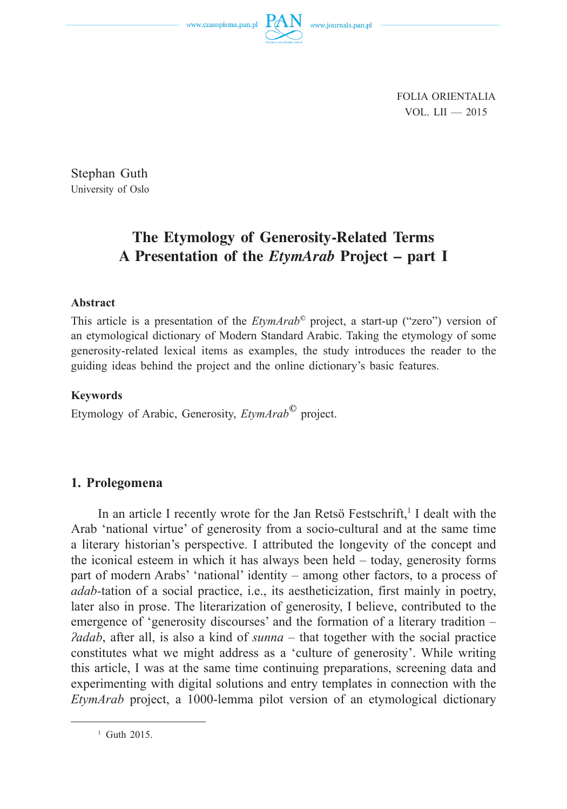www.czasopisma.pan.pl  $PA$ 

FOLIA ORIENTALIA VOL. LII — 2015

Stephan Guth University of Oslo

# **The Etymology of Generosity-Related Terms A Presentation of the** *EtymArab* **Project – part I**

## **Abstract**

This article is a presentation of the *EtymArab©* project, a start-up ("zero") version of an etymological dictionary of Modern Standard Arabic. Taking the etymology of some generosity-related lexical items as examples, the study introduces the reader to the guiding ideas behind the project and the online dictionary's basic features.

## **Keywords**

Etymology of Arabic, Generosity, *EtymArab©* project.

# **1. Prolegomena**

In an article I recently wrote for the Jan Retsö Festschrift,<sup>1</sup> I dealt with the Arab 'national virtue' of generosity from a socio-cultural and at the same time a literary historian's perspective. I attributed the longevity of the concept and the iconical esteem in which it has always been held – today, generosity forms part of modern Arabs' 'national' identity – among other factors, to a process of *adab-*tation of a social practice, i.e., its aestheticization, first mainly in poetry, later also in prose. The literarization of generosity, I believe, contributed to the emergence of 'generosity discourses' and the formation of a literary tradition – *ʔadab*, after all, is also a kind of *sunna* – that together with the social practice constitutes what we might address as a 'culture of generosity'. While writing this article, I was at the same time continuing preparations, screening data and experimenting with digital solutions and entry templates in connection with the *EtymArab* project, a 1000-lemma pilot version of an etymological dictionary

 $1$  Guth 2015.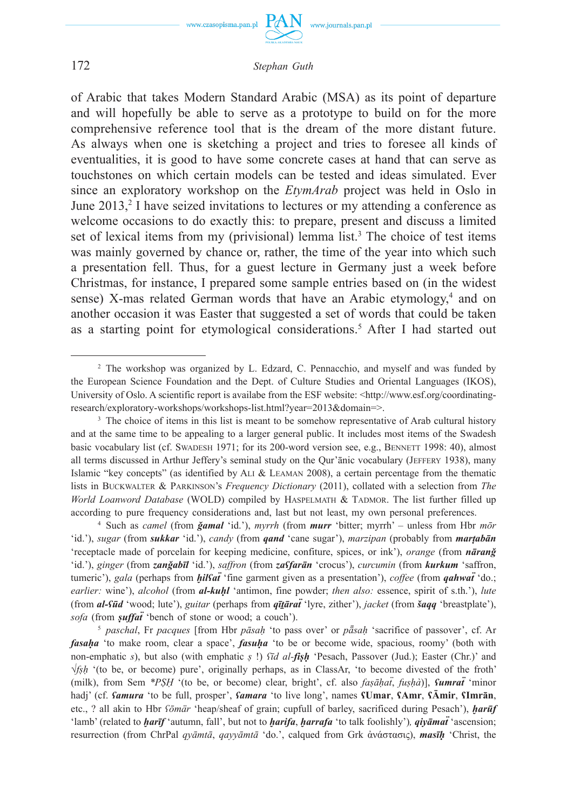

of Arabic that takes Modern Standard Arabic (MSA) as its point of departure and will hopefully be able to serve as a prototype to build on for the more comprehensive reference tool that is the dream of the more distant future. As always when one is sketching a project and tries to foresee all kinds of eventualities, it is good to have some concrete cases at hand that can serve as touchstones on which certain models can be tested and ideas simulated. Ever since an exploratory workshop on the *EtymArab* project was held in Oslo in June  $2013$ ,<sup>2</sup> I have seized invitations to lectures or my attending a conference as welcome occasions to do exactly this: to prepare, present and discuss a limited set of lexical items from my (privisional) lemma list.<sup>3</sup> The choice of test items was mainly governed by chance or, rather, the time of the year into which such a presentation fell. Thus, for a guest lecture in Germany just a week before Christmas, for instance, I prepared some sample entries based on (in the widest sense) X-mas related German words that have an Arabic etymology,<sup>4</sup> and on another occasion it was Easter that suggested a set of words that could be taken as a starting point for etymological considerations.<sup>5</sup> After I had started out

<sup>2</sup> The workshop was organized by L. Edzard, C. Pennacchio, and myself and was funded by the European Science Foundation and the Dept. of Culture Studies and Oriental Languages (IKOS), University of Oslo. A scientific report is availabe from the ESF website: <http://www.esf.org/coordinatingresearch/exploratory-workshops/workshops-list.html?year=2013&domain=>.

<sup>&</sup>lt;sup>3</sup> The choice of items in this list is meant to be somehow representative of Arab cultural history and at the same time to be appealing to a larger general public. It includes most items of the Swadesh basic vocabulary list (cf. SWADESH 1971; for its 200-word version see, e.g., BENNETT 1998: 40), almost all terms discussed in Arthur Jeffery's seminal study on the Qur'ānic vocabulary (JEFFERY 1938), many Islamic "key concepts" (as identified by ALI & LEAMAN 2008), a certain percentage from the thematic lists in BUCKWALTER & PARKINSON's *Frequency Dictionary* (2011), collated with a selection from *The World Loanword Database* (WOLD) compiled by HASPELMATH & TADMOR. The list further filled up according to pure frequency considerations and, last but not least, my own personal preferences.

<sup>4</sup> Such as *camel* (from *ǧamal* 'id.'), *myrrh* (from *murr* 'bitter; myrrh' – unless from Hbr *mōr* 'id.'), *sugar* (from *sukkar* 'id.'), *candy* (from *qand* 'cane sugar'), *marzipan* (probably from *marṭabān*  'receptacle made of porcelain for keeping medicine, confiture, spices, or ink'), *orange* (from *nāranǧ* 'id.'), *ginger* (from *zanǧabīl* 'id.'), *saffron* (from *zaʕfarān* 'crocus'), *curcumin* (from *kurkum* 'saffron, tumeric'), *gala* (perhaps from *ḫilʕaẗ* 'fine garment given as a presentation'), *coffee* (from *qahwaẗ* 'do.; *earlier:* wine'), *alcohol* (from *al-kuḥl* 'antimon, fine powder; *then also:* essence, spirit of s.th.'), *lute* (from *al-ʕūd* 'wood; lute'), *guitar* (perhaps from *qīṯāraẗ* 'lyre, zither'), *jacket* (from *šaqq* 'breastplate'), *sofa* (from *suffa<sup>†</sup>* 'bench of stone or wood; a couch').

<sup>5</sup> *paschal*, Fr *pacques* [from Hbr *pāsaḥ* 'to pass over' or *pǟ saḥ* 'sacrifice of passover', cf. Ar *fasaḥa* 'to make room, clear a space', *fasuḥa* 'to be or become wide, spacious, roomy' (both with non-emphatic *s*), but also (with emphatic *ṣ* !) *ʕīd al-fiṣḥ* 'Pesach, Passover (Jud.); Easter (Chr.)' and √*fṣḥ* '(to be, or become) pure', originally perhaps, as in ClassAr, 'to become divested of the froth' (milk), from Sem *\*PṢḤ* '(to be, or become) clear, bright', cf. also *faṣāḥaẗ*, *fuṣḥà*)], *ʕumraẗ* 'minor hadj' (cf. *ʕamura* 'to be full, prosper', *ʕamara* 'to live long', names **ʕUmar**, **ʕAmr**, **ʕĀmir**, **ʕImrān**, etc., ? all akin to Hbr *ʕōmär* 'heap/sheaf of grain; cupfull of barley, sacrificed during Pesach'), *ḫarūf* 'lamb' (related to *ḫarīf* 'autumn, fall', but not to *ḫarifa*, *ḫarrafa* 'to talk foolishly')*, qiyāmaẗ* 'ascension; resurrection (from ChrPal *qyāmtā*, *qayyāmtā* 'do.', calqued from Grk ἀνάστασις), *masīḥ* 'Christ, the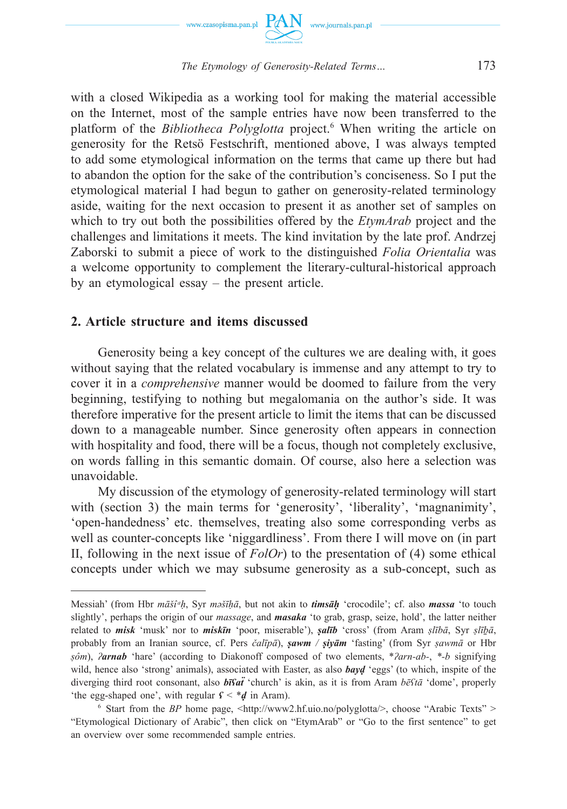

with a closed Wikipedia as a working tool for making the material accessible on the Internet, most of the sample entries have now been transferred to the platform of the *Bibliotheca Polyglotta* project.<sup>6</sup> When writing the article on generosity for the Retsö Festschrift, mentioned above, I was always tempted to add some etymological information on the terms that came up there but had to abandon the option for the sake of the contribution's conciseness. So I put the etymological material I had begun to gather on generosity-related terminology aside, waiting for the next occasion to present it as another set of samples on which to try out both the possibilities offered by the *EtymArab* project and the challenges and limitations it meets. The kind invitation by the late prof. Andrzej Zaborski to submit a piece of work to the distinguished *Folia Orientalia* was a welcome opportunity to complement the literary-cultural-historical approach by an etymological essay – the present article.

## **2. Article structure and items discussed**

Generosity being a key concept of the cultures we are dealing with, it goes without saying that the related vocabulary is immense and any attempt to try to cover it in a *comprehensive* manner would be doomed to failure from the very beginning, testifying to nothing but megalomania on the author's side. It was therefore imperative for the present article to limit the items that can be discussed down to a manageable number. Since generosity often appears in connection with hospitality and food, there will be a focus, though not completely exclusive, on words falling in this semantic domain. Of course, also here a selection was unavoidable.

My discussion of the etymology of generosity-related terminology will start with (section 3) the main terms for 'generosity', 'liberality', 'magnanimity', 'open-handedness' etc. themselves, treating also some corresponding verbs as well as counter-concepts like 'niggardliness'. From there I will move on (in part II, following in the next issue of *FolOr*) to the presentation of (4) some ethical concepts under which we may subsume generosity as a sub-concept, such as

Messiah' (from Hbr *māšîᵃḥ*, Syr *məšīḥā*, but not akin to *timsāḥ* 'crocodile'; cf. also *massa* 'to touch slightly', perhaps the origin of our *massage*, and *masaka* 'to grab, grasp, seize, hold', the latter neither related to *misk* 'musk' nor to *miskīn* 'poor, miserable'), *ṣalīb* 'cross' (from Aram *ṣlībā*, Syr *ṣlīḇā*, probably from an Iranian source, cf. Pers *čalīpā*), *ṣawm / ṣiyām* 'fasting' (from Syr *ṣawmā* or Hbr *ṣôm*), *ʔarnab* 'hare' (according to Diakonoff composed of two elements, \**ʔarn-ab-*, *\*-b* signifying wild, hence also 'strong' animals), associated with Easter, as also *bayḍ* 'eggs' (to which, inspite of the diverging third root consonant, also  $b\bar{t}$ *a*<sup> $i$ </sup> church' is akin, as it is from Aram  $b\bar{e}$ *fta* 'dome', properly 'the egg-shaped one', with regular  $f < *d$  in Aram).

<sup>&</sup>lt;sup>6</sup> Start from the *BP* home page, <http://www2.hf.uio.no/polyglotta/>, choose "Arabic Texts" > "Etymological Dictionary of Arabic", then click on "EtymArab" or "Go to the first sentence" to get an overview over some recommended sample entries.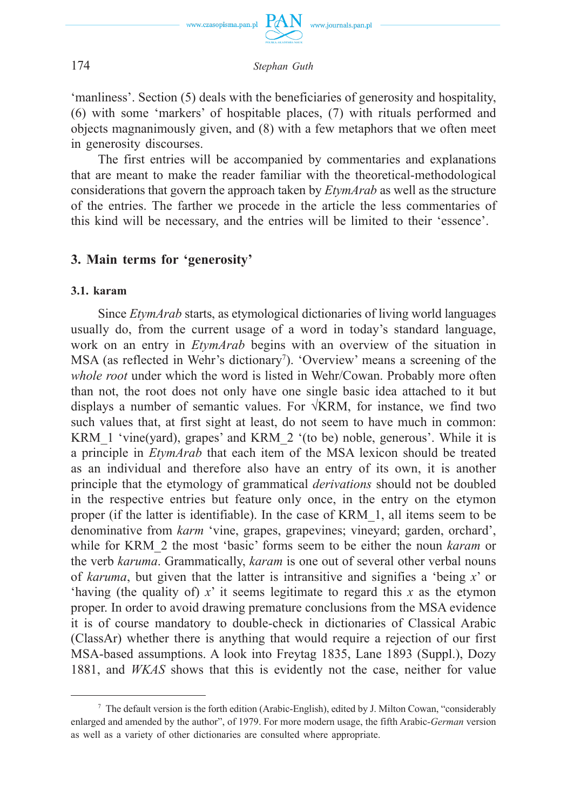

'manliness'. Section (5) deals with the beneficiaries of generosity and hospitality, (6) with some 'markers' of hospitable places, (7) with rituals performed and objects magnanimously given, and (8) with a few metaphors that we often meet in generosity discourses.

The first entries will be accompanied by commentaries and explanations that are meant to make the reader familiar with the theoretical-methodological considerations that govern the approach taken by *EtymArab* as well as the structure of the entries. The farther we procede in the article the less commentaries of this kind will be necessary, and the entries will be limited to their 'essence'.

# **3. Main terms for 'generosity'**

## **3.1. karam**

Since *EtymArab* starts, as etymological dictionaries of living world languages usually do, from the current usage of a word in today's standard language, work on an entry in *EtymArab* begins with an overview of the situation in MSA (as reflected in Wehr's dictionary<sup>7</sup>). 'Overview' means a screening of the *whole root* under which the word is listed in Wehr/Cowan. Probably more often than not, the root does not only have one single basic idea attached to it but displays a number of semantic values. For  $\sqrt{kRM}$ , for instance, we find two such values that, at first sight at least, do not seem to have much in common: KRM 1 'vine(yard), grapes' and KRM 2 '(to be) noble, generous'. While it is a principle in *EtymArab* that each item of the MSA lexicon should be treated as an individual and therefore also have an entry of its own, it is another principle that the etymology of grammatical *derivations* should not be doubled in the respective entries but feature only once, in the entry on the etymon proper (if the latter is identifiable). In the case of KRM\_1, all items seem to be denominative from *karm* 'vine, grapes, grapevines; vineyard; garden, orchard', while for KRM\_2 the most 'basic' forms seem to be either the noun *karam* or the verb *karuma*. Grammatically, *karam* is one out of several other verbal nouns of *karuma*, but given that the latter is intransitive and signifies a 'being *x*' or 'having (the quality of) *x*' it seems legitimate to regard this *x* as the etymon proper. In order to avoid drawing premature conclusions from the MSA evidence it is of course mandatory to double-check in dictionaries of Classical Arabic (ClassAr) whether there is anything that would require a rejection of our first MSA-based assumptions. A look into Freytag 1835, Lane 1893 (Suppl.), Dozy 1881, and *WKAS* shows that this is evidently not the case, neither for value

<sup>7</sup> The default version is the forth edition (Arabic-English), edited by J. Milton Cowan, "considerably enlarged and amended by the author", of 1979. For more modern usage, the fifth Arabic-*German* version as well as a variety of other dictionaries are consulted where appropriate.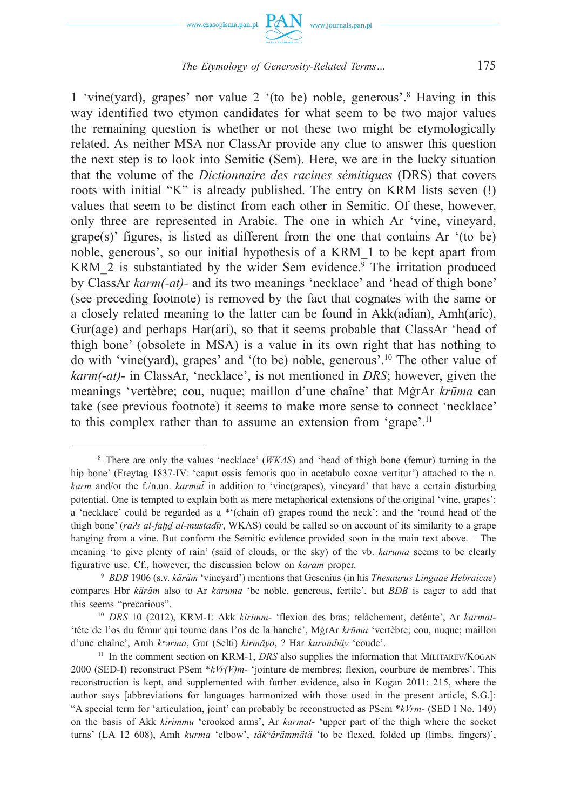

1 'vine(yard), grapes' nor value 2 '(to be) noble, generous'.<sup>8</sup> Having in this way identified two etymon candidates for what seem to be two major values the remaining question is whether or not these two might be etymologically related. As neither MSA nor ClassAr provide any clue to answer this question the next step is to look into Semitic (Sem). Here, we are in the lucky situation that the volume of the *Dictionnaire des racines sémitiques* (DRS) that covers roots with initial "K" is already published. The entry on KRM lists seven (!) values that seem to be distinct from each other in Semitic. Of these, however, only three are represented in Arabic. The one in which Ar 'vine, vineyard, grape(s)' figures, is listed as different from the one that contains Ar '(to be) noble, generous', so our initial hypothesis of a KRM\_1 to be kept apart from KRM<sub>2</sub> is substantiated by the wider Sem evidence.<sup>9</sup> The irritation produced by ClassAr *karm(-at)-* and its two meanings 'necklace' and 'head of thigh bone' (see preceding footnote) is removed by the fact that cognates with the same or a closely related meaning to the latter can be found in Akk(adian), Amh(aric), Gur(age) and perhaps Har(ari), so that it seems probable that ClassAr 'head of thigh bone' (obsolete in MSA) is a value in its own right that has nothing to do with 'vine(yard), grapes' and '(to be) noble, generous'.10 The other value of *karm(-at)-* in ClassAr, 'necklace', is not mentioned in *DRS*; however, given the meanings 'vertèbre; cou, nuque; maillon d'une chaîne' that MġrAr *krūma* can take (see previous footnote) it seems to make more sense to connect 'necklace' to this complex rather than to assume an extension from 'grape'.<sup>11</sup>

<sup>8</sup> There are only the values 'necklace' (*WKAS*) and 'head of thigh bone (femur) turning in the hip bone' (Freytag 1837-IV: 'caput ossis femoris quo in acetabulo coxae vertitur') attached to the n. *karm* and/or the f./n.un. *karmat* in addition to 'vine(grapes), vineyard' that have a certain disturbing potential. One is tempted to explain both as mere metaphorical extensions of the original 'vine, grapes': a 'necklace' could be regarded as a \*'(chain of) grapes round the neck'; and the 'round head of the thigh bone' (*raʔs al-faḫḏ al-mustadīr*, WKAS) could be called so on account of its similarity to a grape hanging from a vine. But conform the Semitic evidence provided soon in the main text above. – The meaning 'to give plenty of rain' (said of clouds, or the sky) of the vb. *karuma* seems to be clearly figurative use. Cf., however, the discussion below on *karam* proper. 9 *BDB* 1906 (s.v. *käräm* 'vineyard') mentions that Gesenius (in his *Thesaurus Linguae Hebraicae*)

compares Hbr *käräm* also to Ar *karuma* 'be noble, generous, fertile', but *BDB* is eager to add that this seems "precarious".

<sup>10</sup> *DRS* 10 (2012), KRM-1: Akk *kirimm-* 'flexion des bras; relâchement, deténte', Ar *karmat-* 'tête de l'os du fémur qui tourne dans l'os de la hanche', MġrAr *krūma* 'vertèbre; cou, nuque; maillon d'une chaîne', Amh *kʷərma*, Gur (Selti) *kirmāyo*, ? Har *kurumbäy* 'coude'.

<sup>&</sup>lt;sup>11</sup> In the comment section on KRM-1, *DRS* also supplies the information that MILITAREV/KOGAN 2000 (SED-I) reconstruct PSem \**kVr(V)m-* 'jointure de membres; flexion, courbure de membres'. This reconstruction is kept, and supplemented with further evidence, also in Kogan 2011: 215, where the author says [abbreviations for languages harmonized with those used in the present article, S.G.]: "A special term for 'articulation, joint' can probably be reconstructed as PSem \**kVrm-* (SED I No. 149) on the basis of Akk *kirimmu* 'crooked arms', Ar *karmat*- 'upper part of the thigh where the socket turns' (LA 12 608), Amh *kurma* 'elbow', *täkʷärämmätä* 'to be flexed, folded up (limbs, fingers)',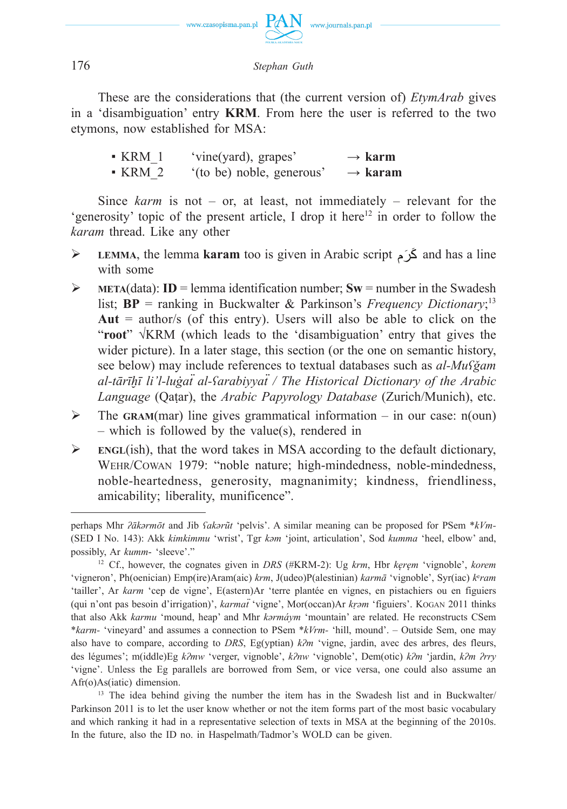

These are the considerations that (the current version of) *EtymArab* gives in a 'disambiguation' entry **KRM**. From here the user is referred to the two etymons, now established for MSA:

| $\blacksquare$ KRM 1      | 'vine(yard), grapes'      | $\rightarrow$ karm  |
|---------------------------|---------------------------|---------------------|
| $\overline{\text{KRM}}$ 2 | '(to be) noble, generous' | $\rightarrow$ karam |

Since  $karm$  is not – or, at least, not immediately – relevant for the 'generosity' topic of the present article, I drop it here<sup>12</sup> in order to follow the *karam* thread. Like any other

- Ø **LEMMA**, the lemma **karam** too is given in Arabic script رمَ كَ and has a line with some
- $\triangleright$  **META**(data): **ID** = lemma identification number; **Sw** = number in the Swadesh list; **BP** = ranking in Buckwalter & Parkinson's *Frequency Dictionary*;<sup>13</sup> **Aut** = author/s (of this entry). Users will also be able to click on the "**root**" √KRM (which leads to the 'disambiguation' entry that gives the wider picture). In a later stage, this section (or the one on semantic history, see below) may include references to textual databases such as *al-Muʕǧam al-tārīḫī li'l-luġaẗ al-ʕarabiyyaẗ / The Historical Dictionary of the Arabic Language* (Qaṭar), the *Arabic Papyrology Database* (Zurich/Munich), etc.
- $\triangleright$  The **GRAM**(mar) line gives grammatical information in our case: n(oun) – which is followed by the value(s), rendered in
- $\triangleright$  **ENGL**(ish), that the word takes in MSA according to the default dictionary, WEHR/COWAN 1979: "noble nature; high-mindedness, noble-mindedness, noble-heartedness, generosity, magnanimity; kindness, friendliness, amicability; liberality, munificence".

<sup>13</sup> The idea behind giving the number the item has in the Swadesh list and in Buckwalter/ Parkinson 2011 is to let the user know whether or not the item forms part of the most basic vocabulary and which ranking it had in a representative selection of texts in MSA at the beginning of the 2010s. In the future, also the ID no. in Haspelmath/Tadmor's WOLD can be given.

perhaps Mhr *ʔākərmōt* and Jib *ʕakərũt* 'pelvis'. A similar meaning can be proposed for PSem \**kVm-* (SED I No. 143): Akk *kimkimmu* 'wrist', Tgr *kəm* 'joint, articulation', Sod *kumma* 'heel, elbow' and, possibly, Ar *kumm*- 'sleeve'."

<sup>12</sup> Cf., however, the cognates given in *DRS* (#KRM-2): Ug *krm*, Hbr *kęręm* 'vignoble', *korem* 'vigneron', Ph(oenician) Emp(ire)Aram(aic) *krm*, J(udeo)P(alestinian) *karmā* 'vignoble', Syr(iac) *k*°*ram* 'tailler', Ar *karm* 'cep de vigne', E(astern)Ar 'terre plantée en vignes, en pistachiers ou en figuiers (qui n'ont pas besoin d'irrigation)', *karmaẗ* 'vigne', Mor(occan)Ar *kṛəm* 'figuiers'. KOGAN 2011 thinks that also Akk *karmu* 'mound, heap' and Mhr *kərmáym* 'mountain' are related. He reconstructs CSem \**karm-* 'vineyard' and assumes a connection to PSem \**kVrm-* 'hill, mound'. – Outside Sem, one may also have to compare, according to *DRS*, Eg(yptian) *kʔm* 'vigne, jardin, avec des arbres, des fleurs, des légumes'; m(iddle)Eg *kʔmw* 'verger, vignoble', *kʔnw* 'vignoble', Dem(otic) *kʔm* 'jardin, *kʔm ʔrry* 'vigne'. Unless the Eg parallels are borrowed from Sem, or vice versa, one could also assume an Afr(o)As(iatic) dimension.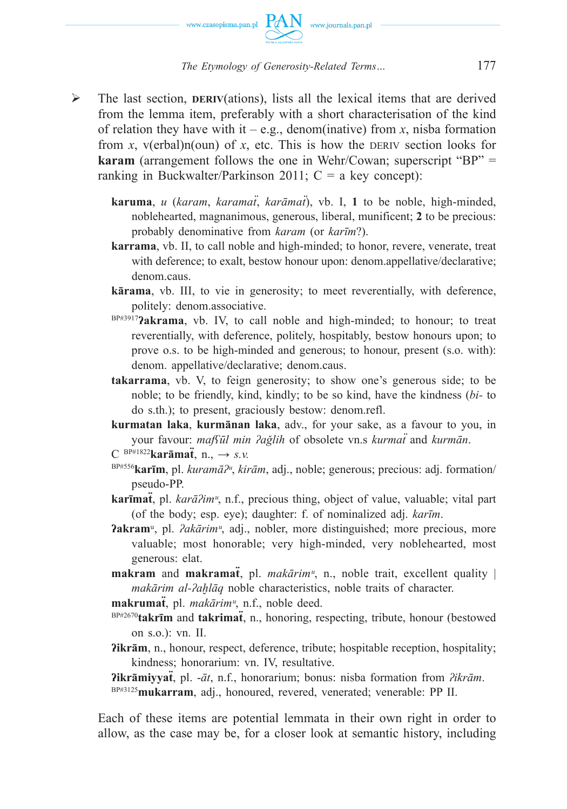

- $\triangleright$  The last section, **DERIV**(ations), lists all the lexical items that are derived from the lemma item, preferably with a short characterisation of the kind of relation they have with it – e.g., denom(inative) from *x*, nisba formation from *x*, v(erbal)n(oun) of *x*, etc. This is how the DERIV section looks for **karam** (arrangement follows the one in Wehr/Cowan; superscript "BP" = ranking in Buckwalter/Parkinson 2011;  $C = a$  key concept):
	- **karuma**, *u* (*karam*, *karamaẗ*, *karāmaẗ*), vb. I, **1** to be noble, high-minded, noblehearted, magnanimous, generous, liberal, munificent; **2** to be precious: probably denominative from *karam* (or *karīm*?).
	- **karrama**, vb. II, to call noble and high-minded; to honor, revere, venerate, treat with deference; to exalt, bestow honour upon: denom.appellative/declarative; denom.caus.
	- **kārama**, vb. III, to vie in generosity; to meet reverentially, with deference, politely: denom.associative.
	- BP#3917**ʔakrama**, vb. IV, to call noble and high-minded; to honour; to treat reverentially, with deference, politely, hospitably, bestow honours upon; to prove o.s. to be high-minded and generous; to honour, present (s.o. with): denom. appellative/declarative; denom.caus.
	- **takarrama**, vb. V, to feign generosity; to show one's generous side; to be noble; to be friendly, kind, kindly; to be so kind, have the kindness (*bi-* to do s.th.); to present, graciously bestow: denom.refl.
	- **kurmatan laka**, **kurmānan laka**, adv., for your sake, as a favour to you, in your favour: *mafʕūl min ʔaǧlih* of obsolete vn.s *kurmaẗ* and *kurmān*.

- BP#556**karīm**, pl. *kuramāʔᵘ*, *kirām*, adj., noble; generous; precious: adj. formation/ pseudo-PP.
- **karīmaẗ**, pl. *karāʔimᵘ*, n.f., precious thing, object of value, valuable; vital part (of the body; esp. eye); daughter: f. of nominalized adj. *karīm*.
- **ʔakram**ᵘ, pl. *ʔakārimᵘ*, adj., nobler, more distinguished; more precious, more valuable; most honorable; very high-minded, very noblehearted, most generous: elat.
- **makram** and **makramat**, pl. *makārim<sup>u</sup>*, n., noble trait, excellent quality | *makārim al-ʔaḫlāq* noble characteristics, noble traits of character.
- **makrumaẗ**, pl. *makārimᵘ*, n.f., noble deed.
- BP#2670**takrīm** and **takrimat**, n., honoring, respecting, tribute, honour (bestowed on s.o.): vn. II.
- **ʔikrām**, n., honour, respect, deference, tribute; hospitable reception, hospitality; kindness; honorarium: vn. IV, resultative.

**ʔikrāmiyyaẗ**, pl. -*āt*, n.f., honorarium; bonus: nisba formation from *ʔikrām*. BP#3125**mukarram**, adj., honoured, revered, venerated; venerable: PP II.

 Each of these items are potential lemmata in their own right in order to allow, as the case may be, for a closer look at semantic history, including

 $C^{BP#1822}$ **karāmat**, n.,  $\rightarrow$  s.v.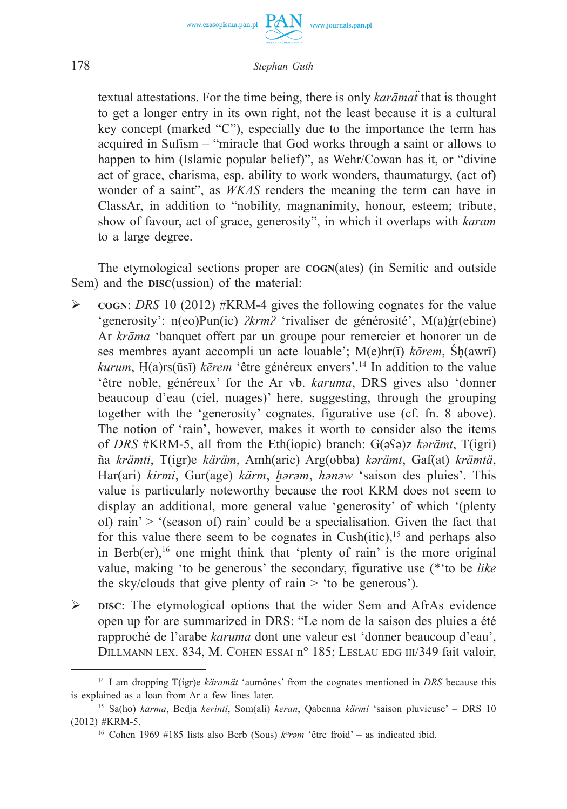

textual attestations. For the time being, there is only *karāmat* that is thought to get a longer entry in its own right, not the least because it is a cultural key concept (marked "C"), especially due to the importance the term has acquired in Sufism – "miracle that God works through a saint or allows to happen to him (Islamic popular belief)", as Wehr/Cowan has it, or "divine act of grace, charisma, esp. ability to work wonders, thaumaturgy, (act of) wonder of a saint", as *WKAS* renders the meaning the term can have in ClassAr, in addition to "nobility, magnanimity, honour, esteem; tribute, show of favour, act of grace, generosity", in which it overlaps with *karam* to a large degree.

The etymological sections proper are **COGN**(ates) (in Semitic and outside Sem) and the **DISC**(ussion) of the material:

- $\triangleright$  **COGN**: *DRS* 10 (2012) #KRM-4 gives the following cognates for the value 'generosity': n(eo)Pun(ic) *ʔkrmʔ* 'rivaliser de générosité', M(a)ġr(ebine) Ar *krāma* 'banquet offert par un groupe pour remercier et honorer un de ses membres ayant accompli un acte louable'; M(e)hr(ī) *kōrem*, Śḥ(awrī) *kurum*, Ḥ(a)rs(ūsī) *kērem* 'être généreux envers'.14 In addition to the value 'être noble, généreux' for the Ar vb. *karuma*, DRS gives also 'donner beaucoup d'eau (ciel, nuages)' here, suggesting, through the grouping together with the 'generosity' cognates, figurative use (cf. fn. 8 above). The notion of 'rain', however, makes it worth to consider also the items of *DRS* #KRM-5, all from the Eth(iopic) branch: G(əʕə)z *kərämt*, T(igri) ña *krämti*, T(igr)e *käräm*, Amh(aric) Arg(obba) *kərämt*, Gaf(at) *krämtä*, Har(ari) *kirmi*, Gur(age) *kärm*, *ḫərəm*, *hənəw* 'saison des pluies'. This value is particularly noteworthy because the root KRM does not seem to display an additional, more general value 'generosity' of which '(plenty of) rain' > '(season of) rain' could be a specialisation. Given the fact that for this value there seem to be cognates in Cush(itic),<sup>15</sup> and perhaps also in Berb $(er)$ ,<sup>16</sup> one might think that 'plenty of rain' is the more original value, making 'to be generous' the secondary, figurative use (\*'to be *like* the sky/clouds that give plenty of rain  $>$  'to be generous').
- Ø **DISC**: The etymological options that the wider Sem and AfrAs evidence open up for are summarized in DRS: "Le nom de la saison des pluies a été rapproché de l'arabe *karuma* dont une valeur est 'donner beaucoup d'eau', DILLMANN LEX. 834, M. COHEN ESSAI n° 185; LESLAU EDG III/349 fait valoir,

<sup>14</sup> I am dropping T(igr)e *käramät* 'aumônes' from the cognates mentioned in *DRS* because this is explained as a loan from Ar a few lines later. 15 Sa(ho) *karma*, Bedja *kerinti*, Som(ali) *keran*, Qabenna *kärmi* 'saison pluvieuse' – DRS 10

<sup>(2012) #</sup>KRM-5.

<sup>&</sup>lt;sup>16</sup> Cohen 1969 #185 lists also Berb (Sous)  $k^{\mu}$ *rəm* 'être froid' – as indicated ibid.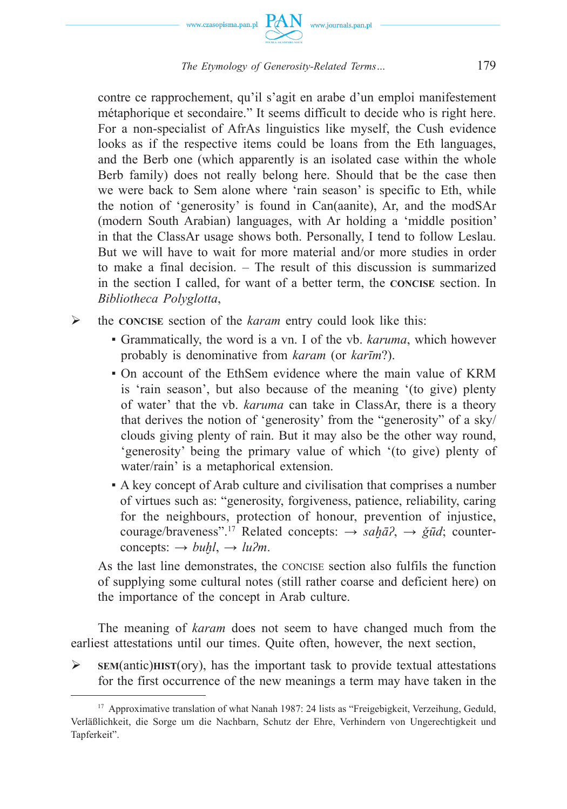

contre ce rapprochement, qu'il s'agit en arabe d'un emploi manifestement métaphorique et secondaire." It seems difficult to decide who is right here. For a non-specialist of AfrAs linguistics like myself, the Cush evidence looks as if the respective items could be loans from the Eth languages, and the Berb one (which apparently is an isolated case within the whole Berb family) does not really belong here. Should that be the case then we were back to Sem alone where 'rain season' is specific to Eth, while the notion of 'generosity' is found in Can(aanite), Ar, and the modSAr (modern South Arabian) languages, with Ar holding a 'middle position' in that the ClassAr usage shows both. Personally, I tend to follow Leslau. But we will have to wait for more material and/or more studies in order to make a final decision. – The result of this discussion is summarized in the section I called, for want of a better term, the **CONCISE** section. In *Bibliotheca Polyglotta*,

- Ø the **CONCISE** section of the *karam* entry could look like this:
	- Grammatically, the word is a vn. I of the vb. *karuma*, which however probably is denominative from *karam* (or *karīm*?).
	- On account of the EthSem evidence where the main value of KRM is 'rain season', but also because of the meaning '(to give) plenty of water' that the vb. *karuma* can take in ClassAr, there is a theory that derives the notion of 'generosity' from the "generosity" of a sky/ clouds giving plenty of rain. But it may also be the other way round, 'generosity' being the primary value of which '(to give) plenty of water/rain' is a metaphorical extension.
	- A key concept of Arab culture and civilisation that comprises a number of virtues such as: "generosity, forgiveness, patience, reliability, caring for the neighbours, protection of honour, prevention of injustice, courage/braveness".17 Related concepts: → *saḫāʔ*, → *ǧūd*; counter- $\text{concepts:} \rightarrow \text{buhl}, \rightarrow \text{lu2m}.$

 As the last line demonstrates, the CONCISE section also fulfils the function of supplying some cultural notes (still rather coarse and deficient here) on the importance of the concept in Arab culture.

The meaning of *karam* does not seem to have changed much from the earliest attestations until our times. Quite often, however, the next section,

 $\triangleright$  **SEM**(antic)HIST(ory), has the important task to provide textual attestations for the first occurrence of the new meanings a term may have taken in the

<sup>17</sup> Approximative translation of what Nanah 1987: 24 lists as "Freigebigkeit, Verzeihung, Geduld, Verläßlichkeit, die Sorge um die Nachbarn, Schutz der Ehre, Verhindern von Ungerechtigkeit und Tapferkeit".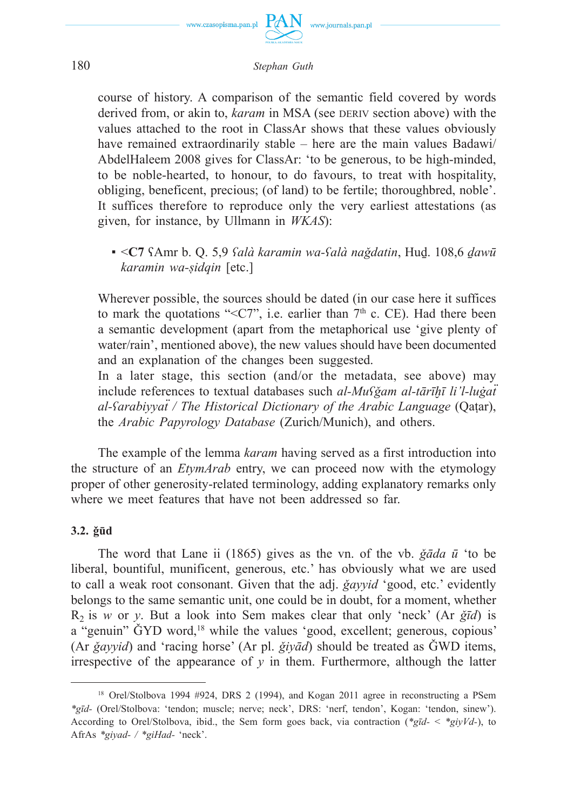

course of history. A comparison of the semantic field covered by words derived from, or akin to, *karam* in MSA (see DERIV section above) with the values attached to the root in ClassAr shows that these values obviously have remained extraordinarily stable – here are the main values Badawi/ AbdelHaleem 2008 gives for ClassAr: 'to be generous, to be high-minded, to be noble-hearted, to honour, to do favours, to treat with hospitality, obliging, beneficent, precious; (of land) to be fertile; thoroughbred, noble'. It suffices therefore to reproduce only the very earliest attestations (as given, for instance, by Ullmann in *WKAS*):

▪ <**C7** ʕAmr b. Q. 5,9 *ʕalà karamin wa-ʕalà naǧdatin*, Huḏ. 108,6 *ḏawū karamin wa-ṣidqin* [etc.]

 Wherever possible, the sources should be dated (in our case here it suffices to mark the quotations "< $CT$ ", i.e. earlier than  $7<sup>th</sup>$  c. CE). Had there been a semantic development (apart from the metaphorical use 'give plenty of water/rain', mentioned above), the new values should have been documented and an explanation of the changes been suggested.

 In a later stage, this section (and/or the metadata, see above) may include references to textual databases such *al-Muʕǧam al-tārīḫī li'l-luġaẗ al-ʕarabiyyaẗ / The Historical Dictionary of the Arabic Language* (Qaṭar), the *Arabic Papyrology Database* (Zurich/Munich), and others.

The example of the lemma *karam* having served as a first introduction into the structure of an *EtymArab* entry, we can proceed now with the etymology proper of other generosity-related terminology, adding explanatory remarks only where we meet features that have not been addressed so far.

## **3.2. ǧūd**

The word that Lane ii (1865) gives as the vn. of the vb. *ǧāda ū* 'to be liberal, bountiful, munificent, generous, etc.' has obviously what we are used to call a weak root consonant. Given that the adj. *ǧayyid* 'good, etc.' evidently belongs to the same semantic unit, one could be in doubt, for a moment, whether R2 is *w* or *y*. But a look into Sem makes clear that only 'neck' (Ar *ǧīd*) is a "genuin"  $\text{GYD}$  word,<sup>18</sup> while the values 'good, excellent; generous, copious' (Ar *ǧayyid*) and 'racing horse' (Ar pl. *ǧiyād*) should be treated as ǦWD items, irrespective of the appearance of  $y$  in them. Furthermore, although the latter

<sup>&</sup>lt;sup>18</sup> Orel/Stolbova 1994 #924, DRS 2 (1994), and Kogan 2011 agree in reconstructing a PSem *\*gīd-* (Orel/Stolbova: 'tendon; muscle; nerve; neck', DRS: 'nerf, tendon', Kogan: 'tendon, sinew'). According to Orel/Stolbova, ibid., the Sem form goes back, via contraction (*\*gīd-* < *\*giyVd-*), to AfrAs *\*giyad- / \*giHad-* 'neck'.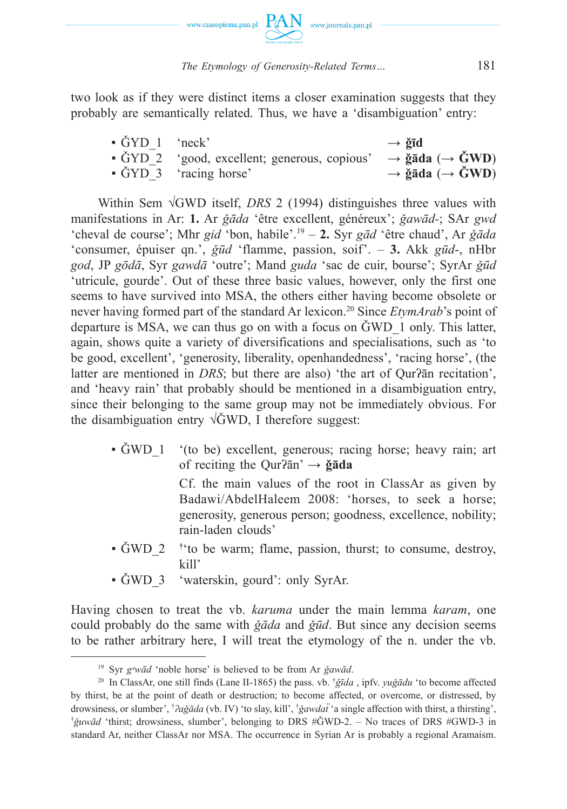

two look as if they were distinct items a closer examination suggests that they probably are semantically related. Thus, we have a 'disambiguation' entry:

| $\bullet$ GYD 1 'neck' |                                                                                                                          | $\rightarrow$ $\delta$ īd               |
|------------------------|--------------------------------------------------------------------------------------------------------------------------|-----------------------------------------|
|                        | • $\text{GYD } 2$ 'good, excellent; generous, copious' $\rightarrow \check{g} \bar{a} da$ ( $\rightarrow \check{G} WD$ ) |                                         |
|                        | • GYD 3 'racing horse'                                                                                                   | $\rightarrow$ ğāda ( $\rightarrow$ GWD) |

Within Sem √GWD itself, *DRS* 2 (1994) distinguishes three values with manifestations in Ar: **1.** Ar *ǧāda* 'être excellent, généreux'; *ǧawād-*; SAr *gwd* 'cheval de course'; Mhr *gid* 'bon, habile'.19 – **2.** Syr *gād* 'être chaud', Ar *ǧāda* 'consumer, épuiser qn.', *ǧūd* 'flamme, passion, soif'. – **3.** Akk *gūd*-, nHbr *god*, JP *gōdā*, Syr *gawdā* 'outre'; Mand *guda* 'sac de cuir, bourse'; SyrAr *ǧūd* 'utricule, gourde'. Out of these three basic values, however, only the first one seems to have survived into MSA, the others either having become obsolete or never having formed part of the standard Ar lexicon.<sup>20</sup> Since *EtymArab*'s point of departure is MSA, we can thus go on with a focus on ǦWD\_1 only. This latter, again, shows quite a variety of diversifications and specialisations, such as 'to be good, excellent', 'generosity, liberality, openhandedness', 'racing horse', (the latter are mentioned in *DRS*; but there are also) 'the art of *Qur* $\overline{a}$  recitation', and 'heavy rain' that probably should be mentioned in a disambiguation entry, since their belonging to the same group may not be immediately obvious. For the disambiguation entry √ǦWD, I therefore suggest:

•  $\ddot{G}WD$  1 '(to be) excellent, generous; racing horse; heavy rain; art of reciting the Qurʔān' → **ǧāda** Cf. the main values of the root in ClassAr as given by

Badawi/AbdelHaleem 2008: 'horses, to seek a horse; generosity, generous person; goodness, excellence, nobility; rain-laden clouds'

- ǦWD\_2 **†** 'to be warm; flame, passion, thurst; to consume, destroy, kill'
- $\text{\r{GWD}}$  3 'waterskin, gourd': only SyrAr.

Having chosen to treat the vb. *karuma* under the main lemma *karam*, one could probably do the same with *ǧāda* and *ǧūd*. But since any decision seems to be rather arbitrary here, I will treat the etymology of the n. under the vb.

<sup>19</sup> Syr *gᵉwād* 'noble horse' is believed to be from Ar *ǧawād*.

<sup>20</sup> In ClassAr, one still finds (Lane II-1865) the pass. vb. † *ǧīda* , ipfv. *yuǧādu* 'to become affected by thirst, be at the point of death or destruction; to become affected, or overcome, or distressed, by drowsiness, or slumber', † *ʔaǧāda* (vb. IV) 'to slay, kill', † *ǧawdaẗ* 'a single affection with thirst, a thirsting', † *ǧuwād* 'thirst; drowsiness, slumber', belonging to DRS #ǦWD-2. – No traces of DRS #GWD-3 in standard Ar, neither ClassAr nor MSA. The occurrence in Syrian Ar is probably a regional Aramaism.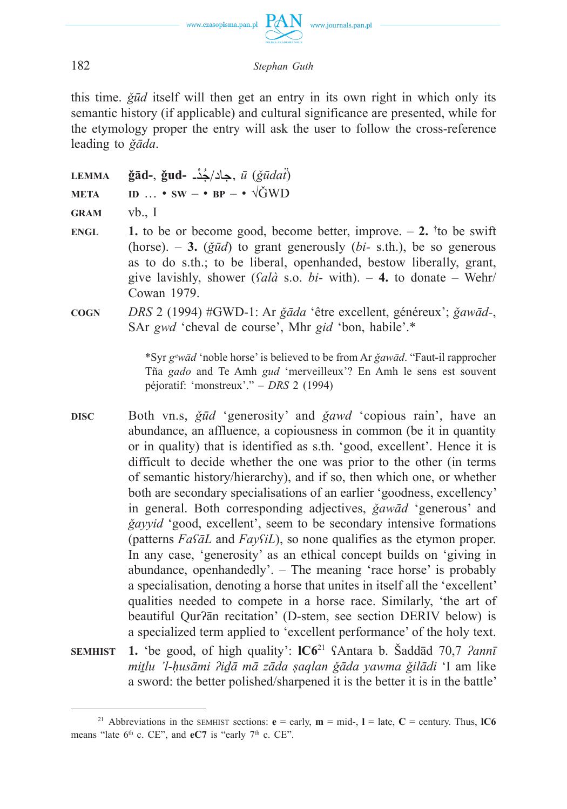

this time. *ǧūd* itself will then get an entry in its own right in which only its semantic history (if applicable) and cultural significance are presented, while for the etymology proper the entry will ask the user to follow the cross-reference leading to *ǧāda*.

**LEMMA ǧād-**, **ǧud-** دـْ جُ /جاد, *ū* (*ǧūdaẗ*)

**META ID**  $\ldots$  • **SW** – • **BP** – •  $\sqrt{\text{G}}$ WD

- **GRAM** vb., I
- **ENGL** 1. to be or become good, become better, improve.  $-2$ . <sup>†</sup>to be swift (horse). – **3.** (*ǧūd*) to grant generously (*bi-* s.th.), be so generous as to do s.th.; to be liberal, openhanded, bestow liberally, grant, give lavishly, shower (*ʕalà* s.o. *bi-* with). – **4.** to donate – Wehr/ Cowan 1979.
- **COGN** *DRS* 2 (1994) #GWD-1: Ar *ǧāda* 'être excellent, généreux'; *ǧawād-*, SAr *gwd* 'cheval de course', Mhr *gid* 'bon, habile'.\*

 \*Syr *gᵉwād* 'noble horse' is believed to be from Ar *ǧawād*. "Faut-il rapprocher Tña *gado* and Te Amh *gud* 'merveilleux'? En Amh le sens est souvent péjoratif: 'monstreux'." – *DRS* 2 (1994)

- **DISC** Both vn.s, *ǧūd* 'generosity' and *ǧawd* 'copious rain', have an abundance, an affluence, a copiousness in common (be it in quantity or in quality) that is identified as s.th. 'good, excellent'. Hence it is difficult to decide whether the one was prior to the other (in terms of semantic history/hierarchy), and if so, then which one, or whether both are secondary specialisations of an earlier 'goodness, excellency' in general. Both corresponding adjectives, *ǧawād* 'generous' and *ǧayyid* 'good, excellent', seem to be secondary intensive formations (patterns *FaʕāL* and *FayʕiL*), so none qualifies as the etymon proper. In any case, 'generosity' as an ethical concept builds on 'giving in abundance, openhandedly'. – The meaning 'race horse' is probably a specialisation, denoting a horse that unites in itself all the 'excellent' qualities needed to compete in a horse race. Similarly, 'the art of beautiful Qurʔān recitation' (D-stem, see section DERIV below) is a specialized term applied to 'excellent performance' of the holy text.
- **SEMHIST 1.** 'be good, of high quality': **lC6**<sup>21</sup> ʕAntara b. Šaddād 70,7 *ʔannī* mitlu 'l-husāmi Pidā mā zāda saglan ģāda yawma ģilādi 'I am like a sword: the better polished/sharpened it is the better it is in the battle'

<sup>&</sup>lt;sup>21</sup> Abbreviations in the SEMHIST sections:  $\mathbf{e} = \text{early}, \mathbf{m} = \text{mid}$ ,  $\mathbf{l} = \text{late}, \mathbf{C} = \text{century}$ . Thus, **lC6** means "late  $6<sup>th</sup>$  c. CE", and  $eC7$  is "early  $7<sup>th</sup>$  c. CE".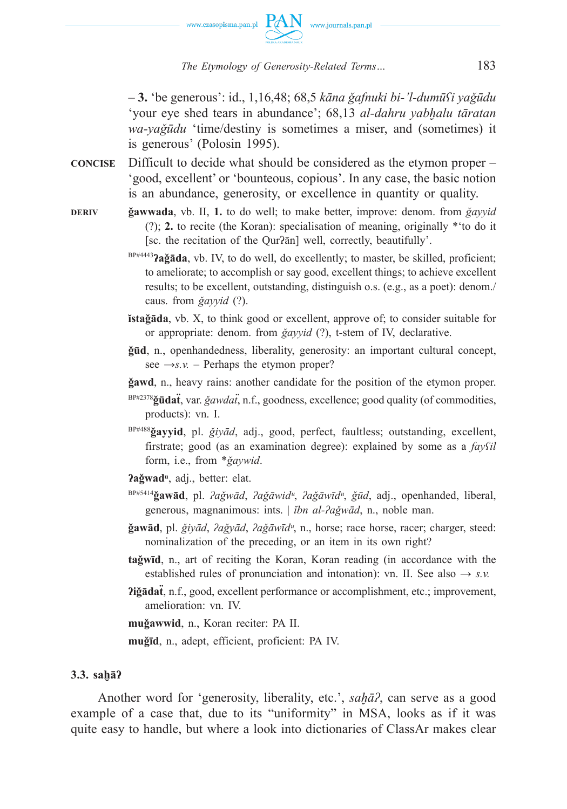

– **3.** 'be generous': id., 1,16,48; 68,5 *kāna ǧafnuki bi-'l-dumūʕi yaǧūdu* 'your eye shed tears in abundance'; 68,13 *al-dahru yabḫalu tāratan wa-yaǧūdu* 'time/destiny is sometimes a miser, and (sometimes) it is generous' (Polosin 1995).

- **CONCISE** Difficult to decide what should be considered as the etymon proper 'good, excellent' or 'bounteous, copious'. In any case, the basic notion is an abundance, generosity, or excellence in quantity or quality.
- **DERIV ǧawwada**, vb. II, **1.** to do well; to make better, improve: denom. from *ǧayyid* (?); **2.** to recite (the Koran): specialisation of meaning, originally \*'to do it [sc. the recitation of the Qurʔān] well, correctly, beautifully'.
	- BP#4443**ʔaǧāda**, vb. IV, to do well, do excellently; to master, be skilled, proficient; to ameliorate; to accomplish or say good, excellent things; to achieve excellent results; to be excellent, outstanding, distinguish o.s. (e.g., as a poet): denom./ caus. from *ǧayyid* (?).
	- **ĭstağāda**, vb. X, to think good or excellent, approve of; to consider suitable for or appropriate: denom. from *ǧayyid* (?), t-stem of IV, declarative.
	- **ǧūd**, n., openhandedness, liberality, generosity: an important cultural concept, see  $\rightarrow$ *s.v.* – Perhaps the etymon proper?
	- **ǧawd**, n., heavy rains: another candidate for the position of the etymon proper.
	- BP#2378**ǧūdaẗ**, var. *ǧawdaẗ*, n.f., goodness, excellence; good quality (of commodities, products): vn. I.
	- BP#488**ǧayyid**, pl. *ǧiyād*, adj., good, perfect, faultless; outstanding, excellent, firstrate; good (as an examination degree): explained by some as a *fayʕil* form, i.e., from \**ǧaywid*.

**ʔaǧwadᵘ**, adj., better: elat.

- BP#5414 **ğawād**, pl. *Pağwād, Pağāwid<sup>u</sup>, Pağāwīd<sup>u</sup>, ğūd*, adj., openhanded, liberal, generous, magnanimous: ints. | *ĭbn al-ʔaǧwād*, n., noble man.
- $\check{\mathbf{z}}$ awād, pl. *ğiyād, ?ağyād, ?ağāwīd<sup>u</sup>*, n., horse; race horse, racer; charger, steed: nominalization of the preceding, or an item in its own right?
- **taǧwīd**, n., art of reciting the Koran, Koran reading (in accordance with the established rules of pronunciation and intonation): vn. II. See also  $\rightarrow$  *s.v.*
- **ʔiǧādaẗ**, n.f., good, excellent performance or accomplishment, etc.; improvement, amelioration: vn. IV.

 **muǧawwid**, n., Koran reciter: PA II.

 **muǧīd**, n., adept, efficient, proficient: PA IV.

## **3.3. saḫāʔ**

Another word for 'generosity, liberality, etc.', *saḫāʔ*, can serve as a good example of a case that, due to its "uniformity" in MSA, looks as if it was quite easy to handle, but where a look into dictionaries of ClassAr makes clear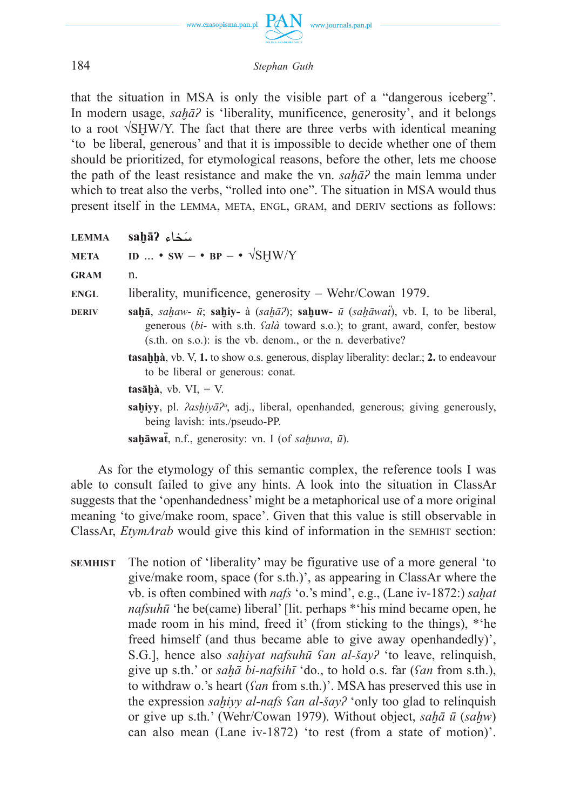

that the situation in MSA is only the visible part of a "dangerous iceberg". In modern usage, *saḫāʔ* is 'liberality, munificence, generosity', and it belongs to a root √SḪW/Y. The fact that there are three verbs with identical meaning 'to be liberal, generous' and that it is impossible to decide whether one of them should be prioritized, for etymological reasons, before the other, lets me choose the path of the least resistance and make the vn. *saḫāʔ* the main lemma under which to treat also the verbs, "rolled into one". The situation in MSA would thus present itself in the LEMMA, META, ENGL, GRAM, and DERIV sections as follows:

**LEMMA saḫāʔ** سخاءَ

**META ID** ... • **SW** – • **BP** – •  $\sqrt{\text{SHW}}/Y$ 

**GRAM** n.

**ENGL** liberality, munificence, generosity – Wehr/Cowan 1979.

- **DERIV sahā**, *sahaw- ū*; **sahiy-** à (*sahāʔ*); **sahuw-**  $\bar{u}$  (*sahāwat*), vb. I, to be liberal, generous (*bi-* with s.th. *ʕalà* toward s.o.); to grant, award, confer, bestow (s.th. on s.o.): is the vb. denom., or the n. deverbative?
	- **tasaḫḫà**, vb. V, **1.** to show o.s. generous, display liberality: declar.; **2.** to endeavour to be liberal or generous: conat.

 $\text{tasāhà}, \text{ vb}, \text{ VI}, \text{ = V}.$ 

 **saḫiyy**, pl. *ʔasḫiyāʔᵘ*, adj., liberal, openhanded, generous; giving generously, being lavish: ints./pseudo-PP.

 $\mathbf{s}$ **ahāwat**, n.f., generosity: vn. I (of *sahuwa*,  $\bar{u}$ ).

As for the etymology of this semantic complex, the reference tools I was able to consult failed to give any hints. A look into the situation in ClassAr suggests that the 'openhandedness' might be a metaphorical use of a more original meaning 'to give/make room, space'. Given that this value is still observable in ClassAr, *EtymArab* would give this kind of information in the SEMHIST section:

**SEMHIST** The notion of 'liberality' may be figurative use of a more general 'to give/make room, space (for s.th.)', as appearing in ClassAr where the vb. is often combined with *nafs* 'o.'s mind', e.g., (Lane iv-1872:) *saḫat nafsuhū* 'he be(came) liberal' [lit. perhaps \*'his mind became open, he made room in his mind, freed it' (from sticking to the things), \*'he freed himself (and thus became able to give away openhandedly)', S.G.], hence also *saḫiyat nafsuhū ʕan al-šayʔ* 'to leave, relinquish, give up s.th.' or *saḫā bi-nafsihī* 'do., to hold o.s. far (*ʕan* from s.th.), to withdraw o.'s heart (*ʕan* from s.th.)'. MSA has preserved this use in the expression *saḫiyy al-nafs ʕan al-šayʔ* 'only too glad to relinquish or give up s.th.' (Wehr/Cowan 1979). Without object, *saḫā ū* (*saḫw*) can also mean (Lane iv-1872) 'to rest (from a state of motion)'.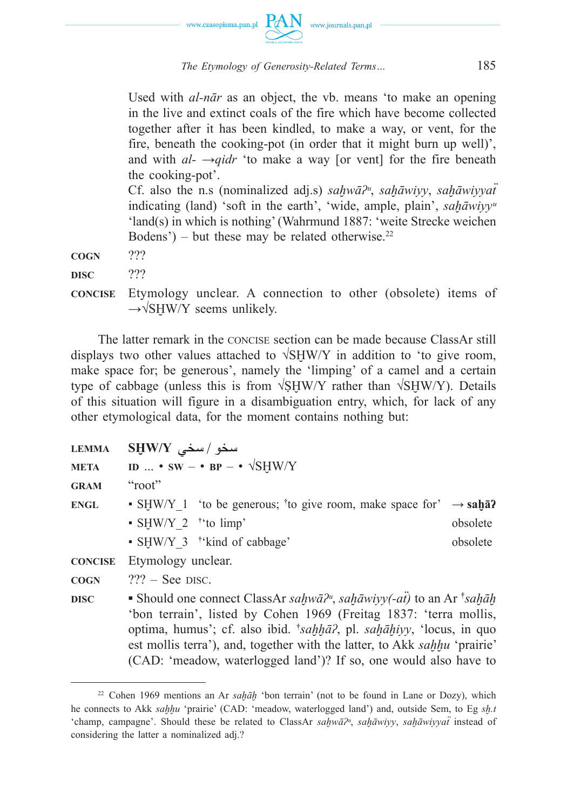

|                | Used with <i>al-nar</i> as an object, the vb. means 'to make an opening                              |
|----------------|------------------------------------------------------------------------------------------------------|
|                | in the live and extinct coals of the fire which have become collected                                |
|                | together after it has been kindled, to make a way, or vent, for the                                  |
|                | fire, beneath the cooking-pot (in order that it might burn up well)',                                |
|                | and with $al$ - $\rightarrow$ qidr 'to make a way [or vent] for the fire beneath                     |
|                | the cooking-pot'.                                                                                    |
|                | Cf. also the n.s (nominalized adj.s) sahwa? <sup><i>u</i></sup> , sahāwiyy, sahāwiyyat               |
|                | indicating (land) 'soft in the earth', 'wide, ample, plain', $sah\bar{a}wiyy^u$                      |
|                | 'land(s) in which is nothing' (Wahrmund 1887: 'weite Strecke weichen                                 |
|                | Bodens') – but these may be related otherwise. <sup>22</sup>                                         |
| <b>COGN</b>    | ???                                                                                                  |
| <b>DISC</b>    | ???                                                                                                  |
| <b>CONCISE</b> | Etymology unclear. A connection to other (obsolete) items of<br>$\rightarrow$ VSHW/Y seems unlikely. |

The latter remark in the CONCISE section can be made because ClassAr still displays two other values attached to  $\sqrt{\text{SHW}}/Y$  in addition to 'to give room, make space for; be generous', namely the 'limping' of a camel and a certain type of cabbage (unless this is from  $\sqrt{\text{SHW}}/Y$  rather than  $\sqrt{\text{SHW}}/Y$ ). Details of this situation will figure in a disambiguation entry, which, for lack of any other etymological data, for the moment contains nothing but:

| <b>LEMMA</b>   | $\mathrm{SHW/Y}$ سخو $\mathrm{W/Y}$                                                                                                                                                                                                                                                                                                |          |
|----------------|------------------------------------------------------------------------------------------------------------------------------------------------------------------------------------------------------------------------------------------------------------------------------------------------------------------------------------|----------|
| <b>META</b>    | ID $\ldots$ • SW - • BP - • $\sqrt{\text{SHW/Y}}$                                                                                                                                                                                                                                                                                  |          |
| <b>GRAM</b>    | "root"                                                                                                                                                                                                                                                                                                                             |          |
| <b>ENGL</b>    | • SHW/Y 1 'to be generous; <sup>†</sup> to give room, make space for $\rightarrow$ saha?                                                                                                                                                                                                                                           |          |
|                | • SHW/Y 2 $\dot{ }$ to limp'                                                                                                                                                                                                                                                                                                       | obsolete |
|                | • SHW/Y 3 <sup>†</sup> 'kind of cabbage'                                                                                                                                                                                                                                                                                           | obsolete |
| <b>CONCISE</b> | Etymology unclear.                                                                                                                                                                                                                                                                                                                 |          |
| <b>COGN</b>    | $222$ – See DISC.                                                                                                                                                                                                                                                                                                                  |          |
| <b>DISC</b>    | • Should one connect ClassAr sahwa? <sup>n</sup> , sahāwiyy(-ai) to an Ar <i>\</i> sahah<br>'bon terrain', listed by Cohen 1969 (Freitag 1837: 'terra mollis,<br>optima, humus'; cf. also ibid. <i>'sahhā?</i> , pl. <i>sahāhiyy</i> , 'locus, in quo<br>est mollis terra'), and, together with the latter, to Akk sahhu 'prairie' |          |

<sup>22</sup> Cohen 1969 mentions an Ar *saḫāḫ* 'bon terrain' (not to be found in Lane or Dozy), which he connects to Akk *saḫḫu* 'prairie' (CAD: 'meadow, waterlogged land') and, outside Sem, to Eg *sḫ.t* 'champ, campagne'. Should these be related to ClassAr *saḫwāʔᵘ*, *saḫāwiyy*, *saḫāwiyyaẗ* instead of considering the latter a nominalized adj.?

(CAD: 'meadow, waterlogged land')? If so, one would also have to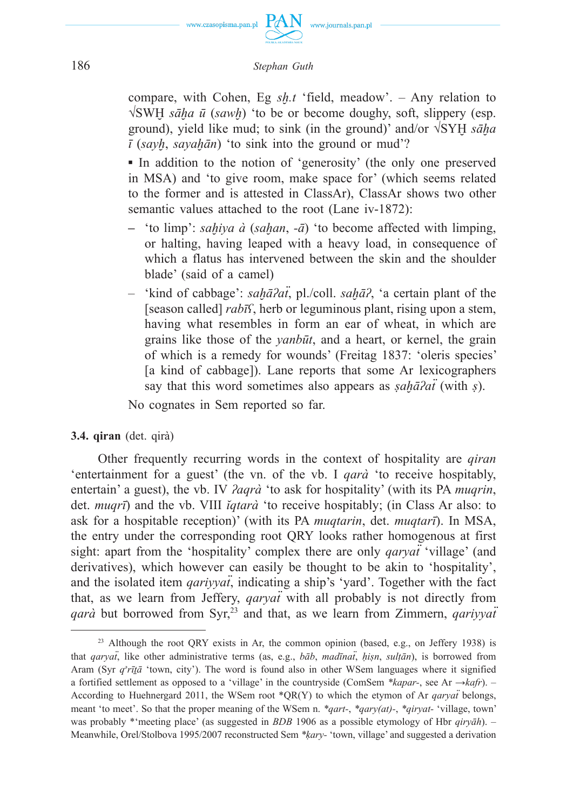

compare, with Cohen, Eg *sḫ.t* 'field, meadow'. – Any relation to √SWḪ *sāḫa ū* (*sawḫ*) 'to be or become doughy, soft, slippery (esp. ground), yield like mud; to sink (in the ground)' and/or  $\sqrt{SYH} s\bar{a}ha$ *ī* (*sayḫ*, *sayaḫān*) 'to sink into the ground or mud'?

**▪** In addition to the notion of 'generosity' (the only one preserved in MSA) and 'to give room, make space for' (which seems related to the former and is attested in ClassAr), ClassAr shows two other semantic values attached to the root (Lane iv-1872):

- 'to limp': *saḫiya à* (*saḫan*, *-ā*) 'to become affected with limping, or halting, having leaped with a heavy load, in consequence of which a flatus has intervened between the skin and the shoulder blade' (said of a camel)
- 'kind of cabbage': *saḫāʔaẗ*, pl./coll. *saḫāʔ*, 'a certain plant of the [season called] *rabīʕ*, herb or leguminous plant, rising upon a stem, having what resembles in form an ear of wheat, in which are grains like those of the *yanbūt*, and a heart, or kernel, the grain of which is a remedy for wounds' (Freitag 1837: 'oleris species' [a kind of cabbage]). Lane reports that some Ar lexicographers say that this word sometimes also appears as *ṣaḫāʔaẗ* (with *ṣ*).

No cognates in Sem reported so far.

## **3.4. qiran** (det. qirà)

Other frequently recurring words in the context of hospitality are *qiran* 'entertainment for a guest' (the vn. of the vb. I *qarà* 'to receive hospitably, entertain' a guest), the vb. IV *ʔaqrà* 'to ask for hospitality' (with its PA *muqrin*, det. *muqrī*) and the vb. VIII *ĭqtarà* 'to receive hospitably; (in Class Ar also: to ask for a hospitable reception)' (with its PA *muqtarin*, det. *muqtarī*). In MSA, the entry under the corresponding root QRY looks rather homogenous at first sight: apart from the 'hospitality' complex there are only *qaryat* 'village' (and derivatives), which however can easily be thought to be akin to 'hospitality', and the isolated item *qariyyat*, indicating a ship's 'yard'. Together with the fact that, as we learn from Jeffery, *qaryat* with all probably is not directly from *qarà* but borrowed from Syr,<sup>23</sup> and that, as we learn from Zimmern, *qariyyat* 

<sup>&</sup>lt;sup>23</sup> Although the root QRY exists in Ar, the common opinion (based, e.g., on Jeffery 1938) is that *qaryaẗ*, like other administrative terms (as, e.g., *bāb*, *madīnaẗ*, *ḥiṣn*, *sulṭān*), is borrowed from Aram (Syr *q<sup>ə</sup> rīṯā* 'town, city'). The word is found also in other WSem languages where it signified a fortified settlement as opposed to a 'village' in the countryside (ComSem *\*kapar-*, see Ar →*kafr*). – According to Huehnergard 2011, the WSem root  $^*QR(Y)$  to which the etymon of Ar *qaryat* belongs, meant 'to meet'. So that the proper meaning of the WSem n. *\*qart-*, *\*qary(at)-*, *\*qiryat-* 'village, town' was probably \*'meeting place' (as suggested in *BDB* 1906 as a possible etymology of Hbr *qiryāh*). – Meanwhile, Orel/Stolbova 1995/2007 reconstructed Sem \**kary*- 'town, village' and suggested a derivation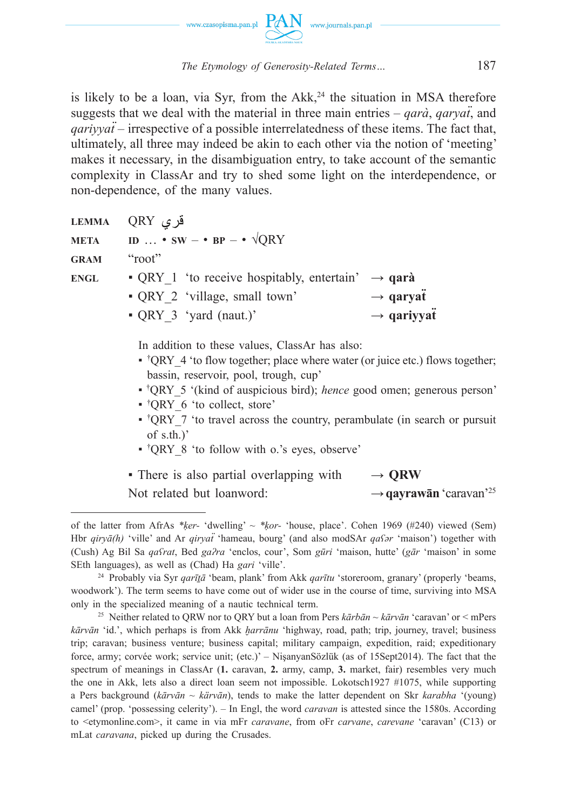

is likely to be a loan, via Syr, from the  $Akk<sup>24</sup>$  the situation in MSA therefore suggests that we deal with the material in three main entries – *qarà*, *qaryat*, and *darivyat* – irrespective of a possible interrelatedness of these items. The fact that, ultimately, all three may indeed be akin to each other via the notion of 'meeting' makes it necessary, in the disambiguation entry, to take account of the semantic complexity in ClassAr and try to shed some light on the interdependence, or non-dependence, of the many values.

| <b>LEMMA</b> | قرى QRY                                                       |                        |
|--------------|---------------------------------------------------------------|------------------------|
| <b>META</b>  | ID $\ldots$ • SW – • BP – • $\sqrt{QRY}$                      |                        |
| <b>GRAM</b>  | "root"                                                        |                        |
| <b>ENGL</b>  | • QRY 1 'to receive hospitably, entertain' $\rightarrow$ qarà |                        |
|              | • QRY 2 'village, small town'                                 | $\rightarrow$ qaryat   |
|              | $\bullet$ QRY 3 'yard (naut.)'                                | $\rightarrow$ qariyyat |
|              |                                                               |                        |

In addition to these values, ClassAr has also:

- <sup>†</sup>QRY\_4 'to flow together; place where water (or juice etc.) flows together; bassin, reservoir, pool, trough, cup'
- † QRY\_5 '(kind of auspicious bird); *hence* good omen; generous person'
- † QRY\_6 'to collect, store'
- <sup>†</sup>QRY\_7 'to travel across the country, perambulate (in search or pursuit of s.th.)'
- † QRY\_8 'to follow with o.'s eyes, observe'
- There is also partial overlapping with  $\rightarrow$  **QRW** Not related but loanword: → **qayrawān** 'caravan<sup>'25</sup>

of the latter from AfrAs *\*ḳer-* 'dwelling' ~ *\*ḳor-* 'house, place'. Cohen 1969 (#240) viewed (Sem) Hbr *qiryā(h)* 'ville' and Ar *qiryaẗ* 'hameau, bourg' (and also modSAr *qaʕər* 'maison') together with (Cush) Ag Bil Sa *qaʕrat*, Bed *gaʔra* 'enclos, cour', Som *gūri* 'maison, hutte' (*gār* 'maison' in some SEth languages), as well as (Chad) Ha *gari* 'ville'.

<sup>24</sup> Probably via Syr *qarīṯā* 'beam, plank' from Akk *qarītu* 'storeroom, granary' (properly 'beams, woodwork'). The term seems to have come out of wider use in the course of time, surviving into MSA only in the specialized meaning of a nautic technical term.

<sup>25</sup> Neither related to QRW nor to QRY but a loan from Pers *kārbān* ~ *kārvān* 'caravan' or < mPers *kārvān* 'id.', which perhaps is from Akk *ḫarrānu* 'highway, road, path; trip, journey, travel; business trip; caravan; business venture; business capital; military campaign, expedition, raid; expeditionary force, army; corvée work; service unit; (etc.)' – NişanyanSözlük (as of 15Sept2014). The fact that the spectrum of meanings in ClassAr (**1.** caravan, **2.** army, camp, **3.** market, fair) resembles very much the one in Akk, lets also a direct loan seem not impossible. Lokotsch1927 #1075, while supporting a Pers background ( $k\bar{a}r\bar{v}\bar{a}n \sim k\bar{a}r\bar{v}\bar{a}n$ ), tends to make the latter dependent on Skr  $k\bar{a}r\bar{a}b\bar{h}a$  '(young) camel' (prop. 'possessing celerity'). – In Engl, the word *caravan* is attested since the 1580s. According to <etymonline.com>, it came in via mFr *caravane*, from oFr *carvane*, *carevane* 'caravan' (C13) or mLat *caravana*, picked up during the Crusades.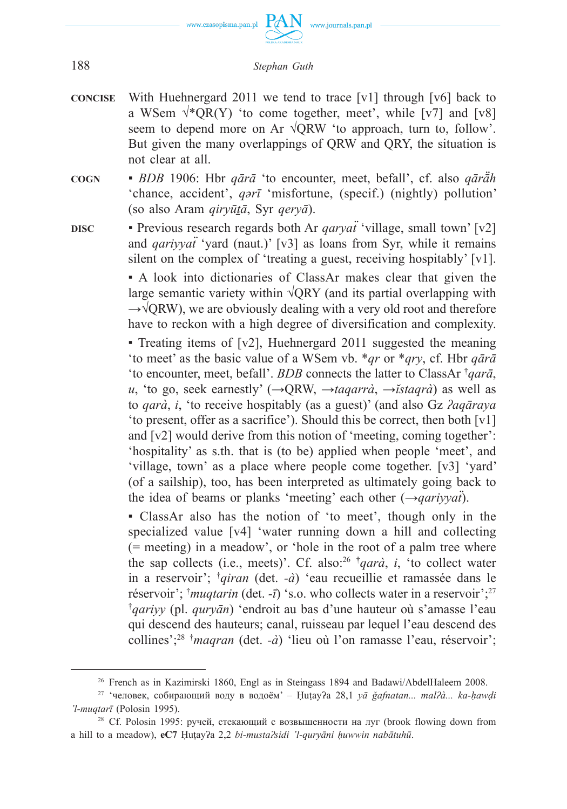

- **CONCISE** With Huehnergard 2011 we tend to trace [v1] through [v6] back to a WSem  $\sqrt*$ QR(Y) 'to come together, meet', while [v7] and [v8] seem to depend more on Ar √QRW 'to approach, turn to, follow'. But given the many overlappings of QRW and QRY, the situation is not clear at all.
- **COGN** *BDB* 1906: Hbr *qārā* 'to encounter, meet, befall', cf. also *qārā̈h* 'chance, accident', *qərī* 'misfortune, (specif.) (nightly) pollution' (so also Aram *qiryūṯā*, Syr *qeryā*).

**DISC •** Previous research regards both Ar *qaryat* 'village, small town'  $[v2]$ and *gariyyat* 'yard (naut.)' [v3] as loans from Syr, while it remains silent on the complex of 'treating a guest, receiving hospitably' [v1].

> ▪ A look into dictionaries of ClassAr makes clear that given the large semantic variety within  $\sqrt{QRY}$  (and its partial overlapping with  $\rightarrow$  √QRW), we are obviously dealing with a very old root and therefore have to reckon with a high degree of diversification and complexity.

> • Treating items of [v2], Huehnergard 2011 suggested the meaning 'to meet' as the basic value of a WSem vb. \**qr* or \**qry*, cf. Hbr *qārā* 'to encounter, meet, befall'. *BDB* connects the latter to ClassAr † *qarā*, *u*, 'to go, seek earnestly' ( $\rightarrow$ QRW,  $\rightarrow$ *taqarrà*,  $\rightarrow$ *ĭstaqrà*) as well as to *qarà*, *i*, 'to receive hospitably (as a guest)' (and also Gz *ʔaqāraya* 'to present, offer as a sacrifice'). Should this be correct, then both [v1] and [v2] would derive from this notion of 'meeting, coming together': 'hospitality' as s.th. that is (to be) applied when people 'meet', and 'village, town' as a place where people come together. [v3] 'yard' (of a sailship), too, has been interpreted as ultimately going back to the idea of beams or planks 'meeting' each other  $(\rightarrow$ *qariyyat*).

> ▪ ClassAr also has the notion of 'to meet', though only in the specialized value [v4] 'water running down a hill and collecting (= meeting) in a meadow', or 'hole in the root of a palm tree where the sap collects (i.e., meets)'. Cf. also:<sup>26</sup>  $\frac{1}{4}$  *qarà*, *i*, 'to collect water in a reservoir'; † *qiran* (det. *-à*) 'eau recueillie et ramassée dans le réservoir'; † *muqtarin* (det. *-ī*) 's.o. who collects water in a reservoir';27 † *qariyy* (pl. *quryān*) 'endroit au bas d'une hauteur où s'amasse l'eau qui descend des hauteurs; canal, ruisseau par lequel l'eau descend des collines';28 † *maqran* (det. *-à*) 'lieu où l'on ramasse l'eau, réservoir';

<sup>&</sup>lt;sup>26</sup> French as in Kazimirski 1860, Engl as in Steingass 1894 and Badawi/AbdelHaleem 2008.

<sup>27 &#</sup>x27;человек, собирающий воду в водоём' – Ḥuṭayʔa 28,1 *yā ǧafnatan... malʔà... ka-ḥawḍi 'l-muqtarī* (Polosin 1995).

<sup>&</sup>lt;sup>28</sup> Cf. Polosin 1995: ручей, стекающий с возвышенности на луг (brook flowing down from a hill to a meadow), **eC7** Ḥuṭayʔa 2,2 *bi-mustaʔsidi 'l-quryāni ḥuwwin nabātuhū*.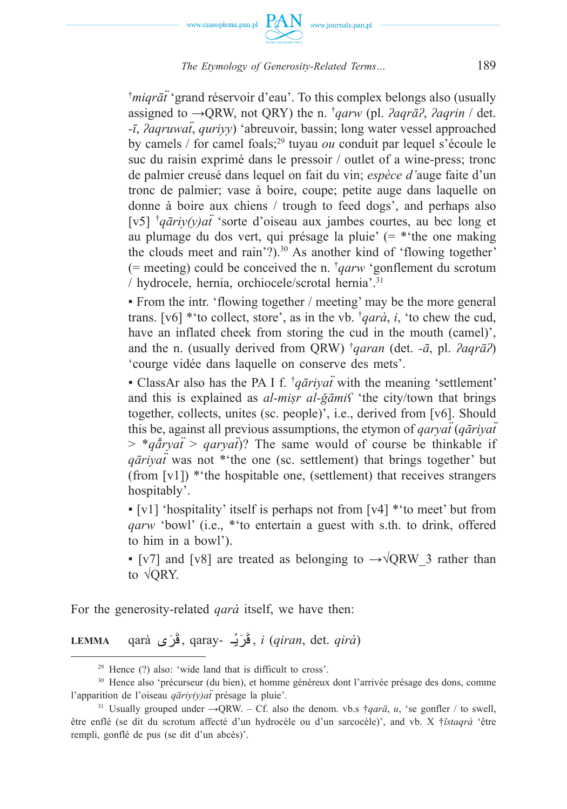

<sup>†</sup>*miqrāt* 'grand réservoir d'eau'. To this complex belongs also (usually assigned to →QRW, not QRY) the n. † *qarw* (pl. *ʔaqrāʔ*, *ʔaqrin* / det. *-ī*, *ʔaqruwaẗ*, *quriyy*) 'abreuvoir, bassin; long water vessel approached by camels / for camel foals;29 tuyau *ou* conduit par lequel s'écoule le suc du raisin exprimé dans le pressoir / outlet of a wine-press; tronc de palmier creusé dans lequel on fait du vin; *espèce d'*auge faite d'un tronc de palmier; vase à boire, coupe; petite auge dans laquelle on donne à boire aux chiens / trough to feed dogs', and perhaps also [v5] † *qāriy(y)aẗ* 'sorte d'oiseau aux jambes courtes, au bec long et au plumage du dos vert, qui présage la pluie' (= \*'the one making the clouds meet and rain'?). $30$  As another kind of 'flowing together' (= meeting) could be conceived the n. † *qarw* 'gonflement du scrotum / hydrocele, hernia, orchiocele/scrotal hernia'.31

• From the intr. 'flowing together / meeting' may be the more general trans. [v6] \*'to collect, store', as in the vb. † *qarà*, *i*, 'to chew the cud, have an inflated cheek from storing the cud in the mouth (camel)'. and the n. (usually derived from QRW) † *qaran* (det. *-ā*, pl. *ʔaqrāʔ*) 'courge vidée dans laquelle on conserve des mets'.

• ClassAr also has the PA I f.  $\frac{4}{7}q\bar{a}$ *riyat* with the meaning 'settlement' and this is explained as *al-miṣr al-ǧāmiʕ* 'the city/town that brings together, collects, unites (sc. people)', i.e., derived from [v6]. Should this be, against all previous assumptions, the etymon of *qaryat* (*qãriyat*)  $>$  \* $q\bar{q}$ *rvat* $\bar{q}$  >  $q\bar{q}$ *arvat* $\bar{q}$ ? The same would of course be thinkable if *q* $\frac{a}{b}$ *i* was not \*'the one (sc. settlement) that brings together' but (from  $[v1]$ ) \* the hospitable one, (settlement) that receives strangers hospitably'.

 $\bullet$  [v1] 'hospitality' itself is perhaps not from [v4] \* 'to meet' but from *qarw* 'bowl' (i.e., \*'to entertain a guest with s.th. to drink, offered to him in a bowl').

• [v7] and [v8] are treated as belonging to  $\rightarrow \sqrt{QRW}$  3 rather than to √QRY.

For the generosity-related *qarà* itself, we have then:

**LEMMA** qarà رىَ َ َ َر ْيـ -qaray , ق ق , *i* (*qiran*, det. *qirà*)

<sup>29</sup> Hence (?) also: 'wide land that is difficult to cross'.

<sup>30</sup> Hence also 'précurseur (du bien), et homme généreux dont l'arrivée présage des dons, comme l'apparition de l'oiseau *qāriy(y)aẗ* présage la pluie'.

<sup>&</sup>lt;sup>31</sup> Usually grouped under  $\rightarrow$  QRW. – Cf. also the denom. vb.s  $\frac{4}{7}ar\bar{a}$ , *u*, 'se gonfler / to swell, être enflé (se dit du scrotum affecté d'un hydrocèle ou d'un sarcocèle)', and vb. X †*ĭstaqrà* 'être rempli, gonflé de pus (se dit d'un abcès)'.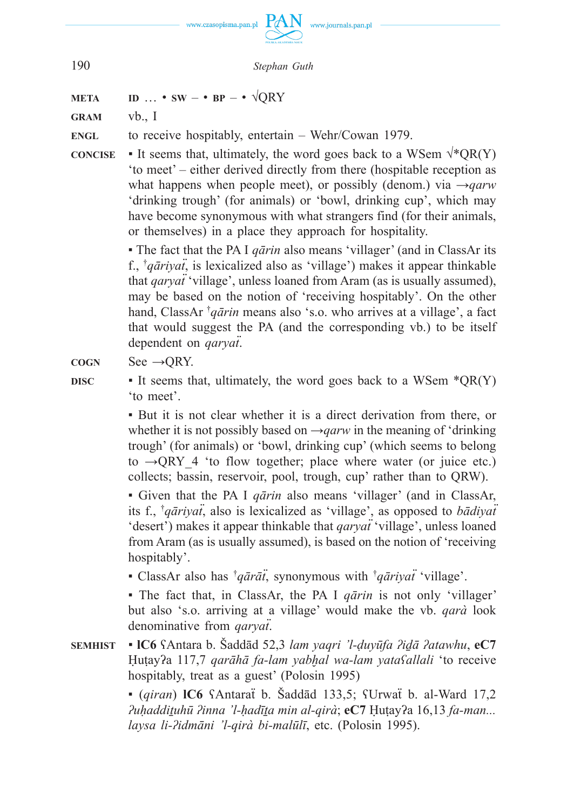

- **META ID**  $\ldots$  **SW** • **BP** •  $\sqrt{ORY}$
- **GRAM** vb., I
- **ENGL** to receive hospitably, entertain Wehr/Cowan 1979.
- **CONCISE** It seems that, ultimately, the word goes back to a WSem  $\sqrt*$ OR(Y) 'to meet' – either derived directly from there (hospitable reception as what happens when people meet), or possibly (denom.) via  $\rightarrow$ *qarw* 'drinking trough' (for animals) or 'bowl, drinking cup', which may have become synonymous with what strangers find (for their animals, or themselves) in a place they approach for hospitality.

▪ The fact that the PA I *qārin* also means 'villager' (and in ClassAr its f., † *qāriyaẗ*, is lexicalized also as 'village') makes it appear thinkable that *garyat* 'village', unless loaned from Aram (as is usually assumed), may be based on the notion of 'receiving hospitably'. On the other hand, ClassAr † *qārin* means also 's.o. who arrives at a village', a fact that would suggest the PA (and the corresponding vb.) to be itself dependent on *qaryat*.

**COGN** See →QRY.

**DISC**  $\bullet$  It seems that, ultimately, the word goes back to a WSem  $\text{*OR}(Y)$ 'to meet'.

> ▪ But it is not clear whether it is a direct derivation from there, or whether it is not possibly based on  $\rightarrow$ *qarw* in the meaning of 'drinking' trough' (for animals) or 'bowl, drinking cup' (which seems to belong to  $\rightarrow$ QRY 4 'to flow together; place where water (or juice etc.) collects; bassin, reservoir, pool, trough, cup' rather than to QRW).

> ▪ Given that the PA I *qārin* also means 'villager' (and in ClassAr, its f., <sup>†</sup>*qāriyai*<sup>\*</sup>, also is lexicalized as 'village', as opposed to *bādiyai* 'desert') makes it appear thinkable that *qaryat* 'village', unless loaned from Aram (as is usually assumed), is based on the notion of 'receiving hospitably'.

• ClassAr also has <sup>†</sup>qārāt, synonymous with <sup>†</sup>qāriyat 'village'.

▪ The fact that, in ClassAr, the PA I *qārin* is not only 'villager' but also 's.o. arriving at a village' would make the vb. *qarà* look denominative from *garyat*.

**SEMHIST** ▪ **lC6** ʕAntara b. Šaddād 52,3 *lam yaqri 'l-ḍuyūfa ʔiḏā ʔatawhu*, **eC7** Ḥuṭayʔa 117,7 *qarāhā fa-lam yabḫal wa-lam yataʕallali* 'to receive hospitably, treat as a guest' (Polosin 1995)

> ▪ (*qiran*) **lC6** ʕAntaraẗ b. Šaddād 133,5; ʕUrwaẗ b. al-Ward 17,2 *ʔuḥaddiṯuhū ʔinna 'l-ḥadīṯa min al-qirà*; **eC7** Ḥuṭayʔa 16,13 *fa-man... laysa li-ʔidmāni 'l-qirà bi-malūlī*, etc. (Polosin 1995).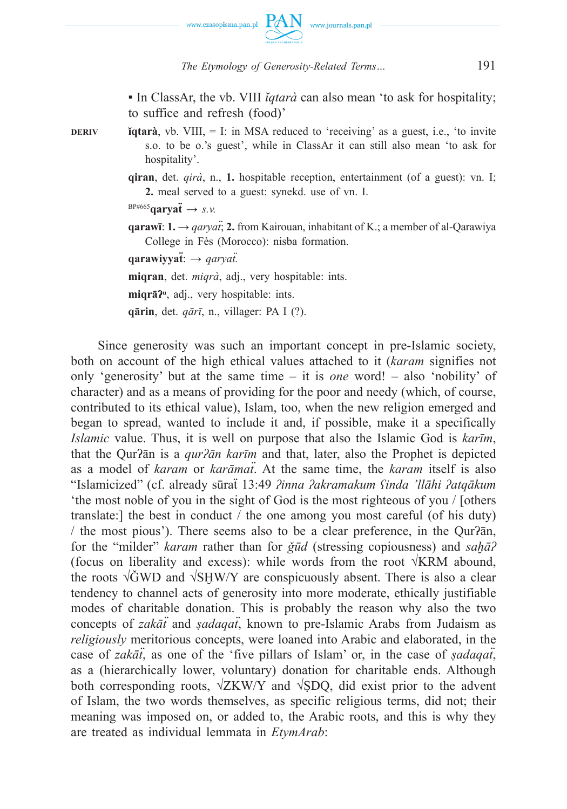

▪ In ClassAr, the vb. VIII *ĭqtarà* can also mean 'to ask for hospitality; to suffice and refresh (food)'

**DERIV** *igtarà, vb. VIII, = I: in MSA reduced to 'receiving' as a guest, i.e., 'to invite* s.o. to be o.'s guest', while in ClassAr it can still also mean 'to ask for hospitality'.

> **qiran**, det. *qirà*, n., **1.** hospitable reception, entertainment (of a guest): vn. I; **2.** meal served to a guest: synekd. use of vn. I.

 ${}^{\text{BP\#665}}$ **qaryat**  $\rightarrow$  *s.v.* 

**qarawī**:  $1. \rightarrow$  *qaryat*;  $2.$  from Kairouan, inhabitant of K.; a member of al-Qarawiya College in Fès (Morocco): nisba formation.

```
qarawiyyat: \rightarrow qaryat.
```
 **miqran**, det. *miqrà*, adj., very hospitable: ints.

miqr**a** $2^u$ , adj., very hospitable: ints.

 **qārin**, det. *qārī*, n., villager: PA I (?).

Since generosity was such an important concept in pre-Islamic society, both on account of the high ethical values attached to it (*karam* signifies not only 'generosity' but at the same time – it is *one* word! – also 'nobility' of character) and as a means of providing for the poor and needy (which, of course, contributed to its ethical value), Islam, too, when the new religion emerged and began to spread, wanted to include it and, if possible, make it a specifically *Islamic* value. Thus, it is well on purpose that also the Islamic God is *karīm*, that the Qurʔān is a *qurʔān karīm* and that, later, also the Prophet is depicted as a model of *karam* or *karāmat*. At the same time, the *karam* itself is also "Islamicized" (cf. already sūraẗ 13:49 *ʔinna ʔakramakum ʕinda 'llāhi ʔatqākum* 'the most noble of you in the sight of God is the most righteous of you / [others translate:] the best in conduct / the one among you most careful (of his duty) / the most pious'). There seems also to be a clear preference, in the Qurʔān, for the "milder" *karam* rather than for *ǧūd* (stressing copiousness) and *saḫāʔ* (focus on liberality and excess): while words from the root √KRM abound, the roots  $\sqrt{GWD}$  and  $\sqrt{SHW/Y}$  are conspicuously absent. There is also a clear tendency to channel acts of generosity into more moderate, ethically justifiable modes of charitable donation. This is probably the reason why also the two concepts of *zakāẗ* and *ṣadaqaẗ*, known to pre-Islamic Arabs from Judaism as *religiously* meritorious concepts, were loaned into Arabic and elaborated, in the case of *zakāẗ*, as one of the 'five pillars of Islam' or, in the case of *ṣadaqaẗ*, as a (hierarchically lower, voluntary) donation for charitable ends. Although both corresponding roots, √ZKW/Y and √ṢDQ, did exist prior to the advent of Islam, the two words themselves, as specific religious terms, did not; their meaning was imposed on, or added to, the Arabic roots, and this is why they are treated as individual lemmata in *EtymArab*: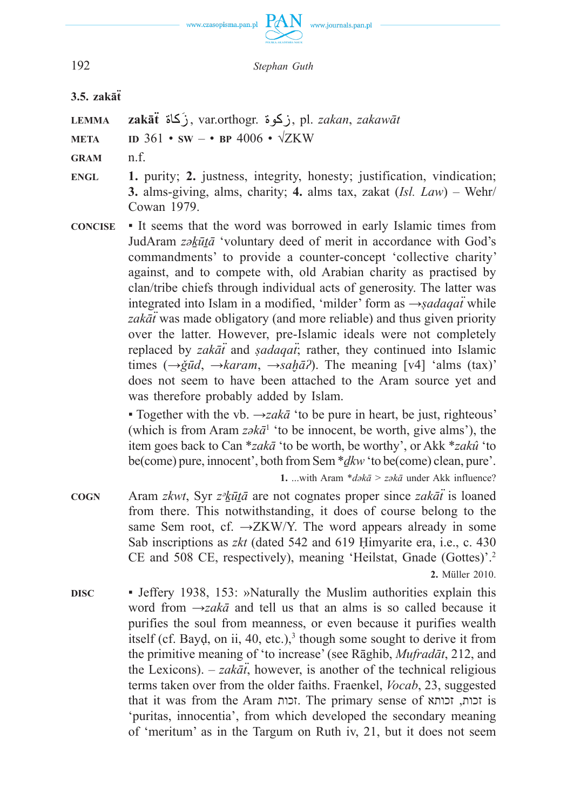

**3.5. zakāẗ**

**LEMMA zakāẗ** زكاةَ , var.orthogr. زكوة , pl. *zakan*, *zakawāt*

- **META ID** 361 **SW** • **BP** 4006  $\sqrt{Z}$ KW
- **GRAM** n.f.
- **ENGL 1.** purity; **2.** justness, integrity, honesty; justification, vindication; **3.** alms-giving, alms, charity; **4.** alms tax, zakat (*Isl. Law*) – Wehr/ Cowan 1979.
- **CONCISE** It seems that the word was borrowed in early Islamic times from JudAram *zəḵūṯā* 'voluntary deed of merit in accordance with God's commandments' to provide a counter-concept 'collective charity' against, and to compete with, old Arabian charity as practised by clan/tribe chiefs through individual acts of generosity. The latter was integrated into Islam in a modified, 'milder' form as →*ṣadaqaẗ* while *zakāẗ* was made obligatory (and more reliable) and thus given priority over the latter. However, pre-Islamic ideals were not completely replaced by *zakāẗ* and *ṣadaqaẗ*; rather, they continued into Islamic times (→*ǧūd*, →*karam*, →*saḫāʔ*). The meaning [v4] 'alms (tax)' does not seem to have been attached to the Aram source yet and was therefore probably added by Islam.

**• Together with the vb.**  $\rightarrow$ *zak* $\bar{a}$  'to be pure in heart, be just, righteous' (which is from Aram  $z \partial k \bar{a}^1$  'to be innocent, be worth, give alms'), the item goes back to Can \**zakā* 'to be worth, be worthy', or Akk \**zakû* 'to be(come) pure, innocent', both from Sem \**ḏkw* 'to be(come) clean, pure'.

**1.** ...with Aram \**dəkā* > *zəkā* under Akk influence?

- **COGN** Aram *zkwt*, Syr *zᵊḵūṯā* are not cognates proper since *zakāẗ* is loaned from there. This notwithstanding, it does of course belong to the same Sem root, cf.  $\rightarrow$ ZKW/Y. The word appears already in some Sab inscriptions as *zkt* (dated 542 and 619 Ḥimyarite era, i.e., c. 430 CE and 508 CE, respectively), meaning 'Heilstat, Gnade (Gottes)'.2 **2.** Müller 2010.
- **DISC** Jeffery 1938, 153: »Naturally the Muslim authorities explain this word from →*zakā* and tell us that an alms is so called because it purifies the soul from meanness, or even because it purifies wealth itself (cf. Bayd, on ii, 40, etc.), $3$  though some sought to derive it from the primitive meaning of 'to increase' (see Rāghib, *Mufradāt*, 212, and the Lexicons). – *zak* $\bar{a}\bar{t}$ , however, is another of the technical religious terms taken over from the older faiths. Fraenkel, *Vocab*, 23, suggested that it was from the Aram זכות. The primary sense of זכותא ,זכות is 'puritas, innocentia', from which developed the secondary meaning of 'meritum' as in the Targum on Ruth iv, 21, but it does not seem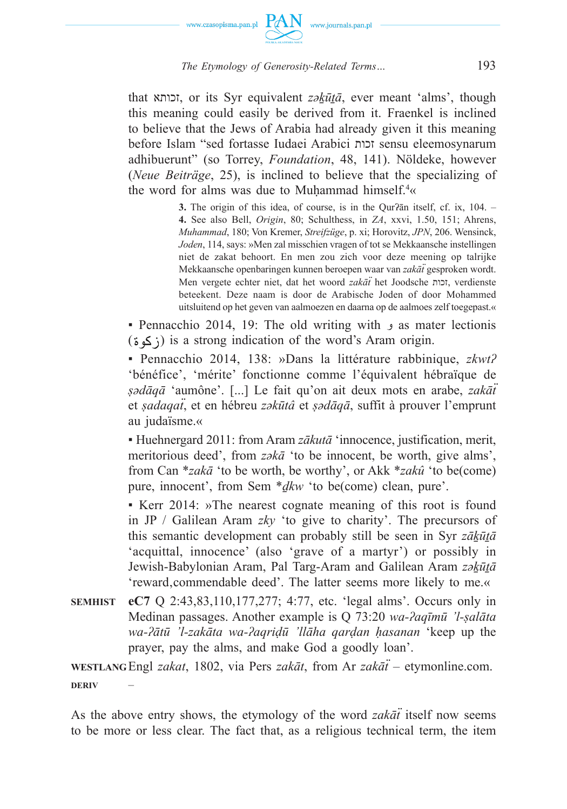

that זכותא, or its Syr equivalent *zəḵūṯā*, ever meant 'alms', though this meaning could easily be derived from it. Fraenkel is inclined to believe that the Jews of Arabia had already given it this meaning before Islam "sed fortasse Iudaei Arabici זכות sensu eleemosynarum adhibuerunt" (so Torrey, *Foundation*, 48, 141). Nöldeke, however (*Neue Beiträge*, 25), is inclined to believe that the specializing of the word for alms was due to Muḥammad himself.<sup>4</sup>«

> **3.** The origin of this idea, of course, is in the Our?an itself, cf. ix, 104. – **4.** See also Bell, *Origin*, 80; Schulthess, in *ZA*, xxvi, 1.50, 151; Ahrens, *Muhammad*, 180; Von Kremer, *Streifzüge*, p. xi; Horovitz, *JPN*, 206. Wensinck, *Joden*, 114, says: »Men zal misschien vragen of tot se Mekkaansche instellingen niet de zakat behoort. En men zou zich voor deze meening op talrijke Mekkaansche openbaringen kunnen beroepen waar van *zakāẗ* gesproken wordt. Men vergete echter niet, dat het woord *zakāẗ* het Joodsche זכות, verdienste beteekent. Deze naam is door de Arabische Joden of door Mohammed uitsluitend op het geven van aalmoezen en daarna op de aalmoes zelf toegepast.«

▪ Pennacchio 2014, 19: The old writing with و as mater lectionis  $(25)$  (is a strong indication of the word's Aram origin.

▪ Pennacchio 2014, 138: »Dans la littérature rabbinique, *zkwtʔ* 'bénéfice', 'mérite' fonctionne comme l'équivalent hébraïque de *ṣədāqā* 'aumône'. [...] Le fait qu'on ait deux mots en arabe, *zakāẗ* et *ṣadaqaẗ*, et en hébreu *zəkūtâ* et *ṣədāqā*, suffit à prouver l'emprunt au judaïsme.«

▪ Huehnergard 2011: from Aram *zākutā* 'innocence, justification, merit, meritorious deed', from *zəkā* 'to be innocent, be worth, give alms', from Can \**zakā* 'to be worth, be worthy', or Akk \**zakû* 'to be(come) pure, innocent', from Sem \**ḏkw* 'to be(come) clean, pure'.

• Kerr 2014: »The nearest cognate meaning of this root is found in JP / Galilean Aram *zky* 'to give to charity'. The precursors of this semantic development can probably still be seen in Syr *zākūtā* 'acquittal, innocence' (also 'grave of a martyr') or possibly in Jewish-Babylonian Aram, Pal Targ-Aram and Galilean Aram *zəḵūṯā* 'reward, commendable deed'. The latter seems more likely to me.«

**SEMHIST eC7** Q 2:43,83,110,177,277; 4:77, etc. ʻlegal alms'. Occurs only in Medinan passages. Another example is Q 73:20 *wa-ʔaqīmū 'l-ṣalāta wa-ʔātū 'l-zakāta wa-ʔaqriḍū 'llāha qarḍan ḥasanan* 'keep up the prayer, pay the alms, and make God a goodly loan'.

**WESTLANG** Engl *zakat*, 1802, via Pers *zakāt*, from Ar *zakāẗ* – etymonline.com. **DERIV** –

As the above entry shows, the etymology of the word  $zak\bar{a}\bar{i}$  itself now seems to be more or less clear. The fact that, as a religious technical term, the item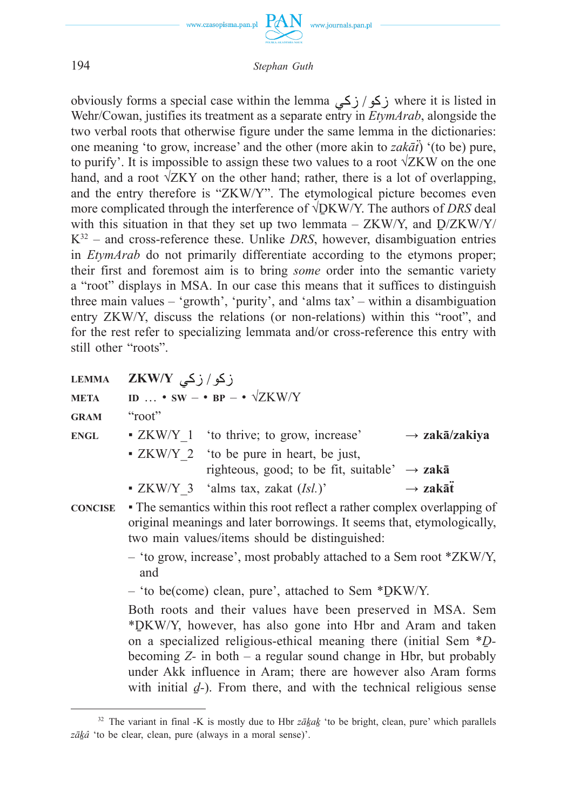

obviously forms a special case within the lemma  $(2)$  ( $\geq$  / $\geq$ ) where it is listed in Wehr/Cowan, justifies its treatment as a separate entry in *EtymArab*, alongside the two verbal roots that otherwise figure under the same lemma in the dictionaries: one meaning 'to grow, increase' and the other (more akin to *zakāẗ*) '(to be) pure, to purify'. It is impossible to assign these two values to a root  $\sqrt{ZKW}$  on the one hand, and a root  $\sqrt{ZKY}$  on the other hand; rather, there is a lot of overlapping, and the entry therefore is "ZKW/Y". The etymological picture becomes even more complicated through the interference of √ḎKW/Y. The authors of *DRS* deal with this situation in that they set up two lemmata  $-$  ZKW/Y, and  $D/ZKW/Y/$ K32 – and cross-reference these. Unlike *DRS*, however, disambiguation entries in *EtymArab* do not primarily differentiate according to the etymons proper; their first and foremost aim is to bring *some* order into the semantic variety a "root" displays in MSA. In our case this means that it suffices to distinguish three main values – 'growth', 'purity', and 'alms tax' – within a disambiguation entry ZKW/Y, discuss the relations (or non-relations) within this "root", and for the rest refer to specializing lemmata and/or cross-reference this entry with still other "roots".

| <b>LEMMA</b>   | زكو/زكي ZKW/Y                                                                                                                                                                                        |                                                                                                                                                                                                                                                                                                                                                                                                                          |                           |
|----------------|------------------------------------------------------------------------------------------------------------------------------------------------------------------------------------------------------|--------------------------------------------------------------------------------------------------------------------------------------------------------------------------------------------------------------------------------------------------------------------------------------------------------------------------------------------------------------------------------------------------------------------------|---------------------------|
| <b>META</b>    | ID  • SW – • BP – • $\sqrt{ZKW/Y}$                                                                                                                                                                   |                                                                                                                                                                                                                                                                                                                                                                                                                          |                           |
| <b>GRAM</b>    | "root"                                                                                                                                                                                               |                                                                                                                                                                                                                                                                                                                                                                                                                          |                           |
| <b>ENGL</b>    |                                                                                                                                                                                                      | • ZKW/Y 1 'to thrive; to grow, increase'                                                                                                                                                                                                                                                                                                                                                                                 | $\rightarrow$ zakā/zakiya |
|                |                                                                                                                                                                                                      | • ZKW/Y 2 'to be pure in heart, be just,<br>righteous, good; to be fit, suitable' $\rightarrow$ zakā                                                                                                                                                                                                                                                                                                                     |                           |
|                | $\bullet$ ZKW/Y 3 'alms tax, zakat $(Isl.)$ '                                                                                                                                                        |                                                                                                                                                                                                                                                                                                                                                                                                                          | $\rightarrow$ zakāt       |
| <b>CONCISE</b> | • The semantics within this root reflect a rather complex overlapping of<br>original meanings and later borrowings. It seems that, etymologically,<br>two main values/items should be distinguished: |                                                                                                                                                                                                                                                                                                                                                                                                                          |                           |
|                | and                                                                                                                                                                                                  | - 'to grow, increase', most probably attached to a Sem root *ZKW/Y,                                                                                                                                                                                                                                                                                                                                                      |                           |
|                |                                                                                                                                                                                                      | - 'to be(come) clean, pure', attached to Sem *DKW/Y.                                                                                                                                                                                                                                                                                                                                                                     |                           |
|                |                                                                                                                                                                                                      | Both roots and their values have been preserved in MSA. Sem<br>*DKW/Y, however, has also gone into Hbr and Aram and taken<br>on a specialized religious-ethical meaning there (initial Sem $*D$ -<br>becoming $Z$ - in both $-$ a regular sound change in Hbr, but probably<br>under Akk influence in Aram; there are however also Aram forms<br>with initial $d$ -). From there, and with the technical religious sense |                           |

<sup>&</sup>lt;sup>32</sup> The variant in final -K is mostly due to Hbr *zākak* 'to be bright, clean, pure' which parallels *zāḵâ* 'to be clear, clean, pure (always in a moral sense)'.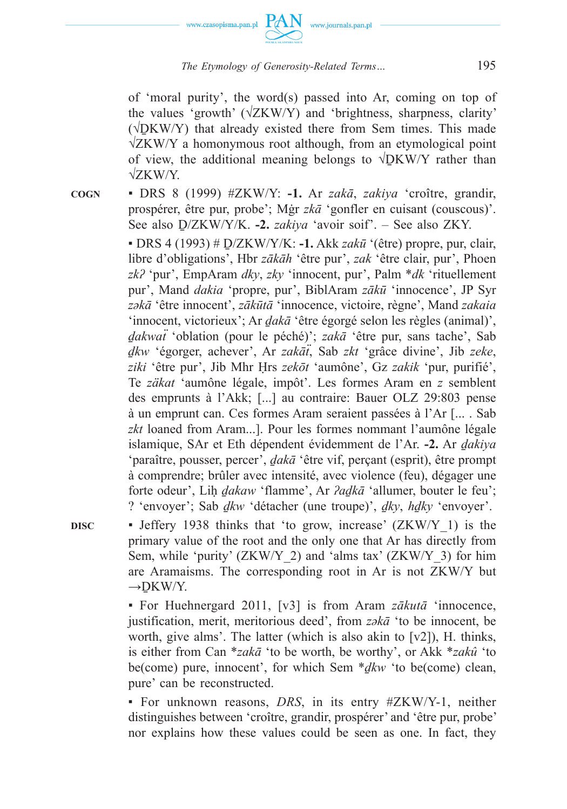

of 'moral purity', the word(s) passed into Ar, coming on top of the values 'growth'  $(\sqrt{ZKW/Y})$  and 'brightness, sharpness, clarity'  $(\sqrt{D}KW/Y)$  that already existed there from Sem times. This made √ZKW/Y a homonymous root although, from an etymological point of view, the additional meaning belongs to  $\sqrt{D}KW/Y$  rather than √ZKW/Y.

**COGN** ▪ DRS 8 (1999) #ZKW/Y: **-1.** Ar *zakā*, *zakiya* 'croître, grandir, prospérer, être pur, probe'; Mġr *zkā* 'gonfler en cuisant (couscous)'. See also Ḏ/ZKW/Y/K. **-2.** *zakiya* 'avoir soif'. – See also ZKY.

> ▪ DRS 4 (1993) # Ḏ/ZKW/Y/K: **-1.** Akk *zakū* '(être) propre, pur, clair, libre d'obligations', Hbr *zākāh* 'être pur', *zak* 'être clair, pur', Phoen *zkʔ* 'pur', EmpAram *dky*, *zky* 'innocent, pur', Palm \**dk* 'rituellement pur', Mand *dakia* 'propre, pur', BiblAram *zākū* 'innocence', JP Syr *zəkā* 'être innocent', *zākūtā* 'innocence, victoire, règne', Mand *zakaia* 'innocent, victorieux'; Ar *ḏakā* 'être égorgé selon les règles (animal)', *ḏakwaẗ* 'oblation (pour le péché)'; *zakā* 'être pur, sans tache', Sab *ḏkw* 'égorger, achever', Ar *zakāẗ*, Sab *zkt* 'grâce divine', Jib *zeke*, *ziki* 'être pur', Jib Mhr Ḥrs *zekōt* 'aumône', Gz *zakik* 'pur, purifié', Te *zäkat* 'aumône légale, impôt'. Les formes Aram en *z* semblent des emprunts à l'Akk; [...] au contraire: Bauer OLZ 29:803 pense à un emprunt can. Ces formes Aram seraient passées à l'Ar [... . Sab *zkt* loaned from Aram...]. Pour les formes nommant l'aumône légale islamique, SAr et Eth dépendent évidemment de l'Ar. **-2.** Ar *ḏakiya* 'paraître, pousser, percer', *ḏakā* 'être vif, perçant (esprit), être prompt à comprendre; brûler avec intensité, avec violence (feu), dégager une forte odeur', Liḥ *ḏakaw* 'flamme', Ar *ʔaḏkā* 'allumer, bouter le feu'; ? 'envoyer'; Sab *ḏkw* 'détacher (une troupe)', *ḏky*, *hḏky* 'envoyer'.

**DISC** • Jeffery 1938 thinks that 'to grow, increase' (ZKW/Y 1) is the primary value of the root and the only one that Ar has directly from Sem, while 'purity' (ZKW/Y\_2) and 'alms tax' (ZKW/Y\_3) for him are Aramaisms. The corresponding root in Ar is not ZKW/Y but  $\rightarrow$ DKW/Y.

> ▪ For Huehnergard 2011, [v3] is from Aram *zākutā* 'innocence, justification, merit, meritorious deed', from *zəkā* 'to be innocent, be worth, give alms'. The latter (which is also akin to [v2]), H. thinks, is either from Can \**zakā* 'to be worth, be worthy', or Akk \**zakû* 'to be(come) pure, innocent', for which Sem \**ḏkw* 'to be(come) clean, pure' can be reconstructed.

> ▪ For unknown reasons, *DRS*, in its entry #ZKW/Y-1, neither distinguishes between 'croître, grandir, prospérer' and 'être pur, probe' nor explains how these values could be seen as one. In fact, they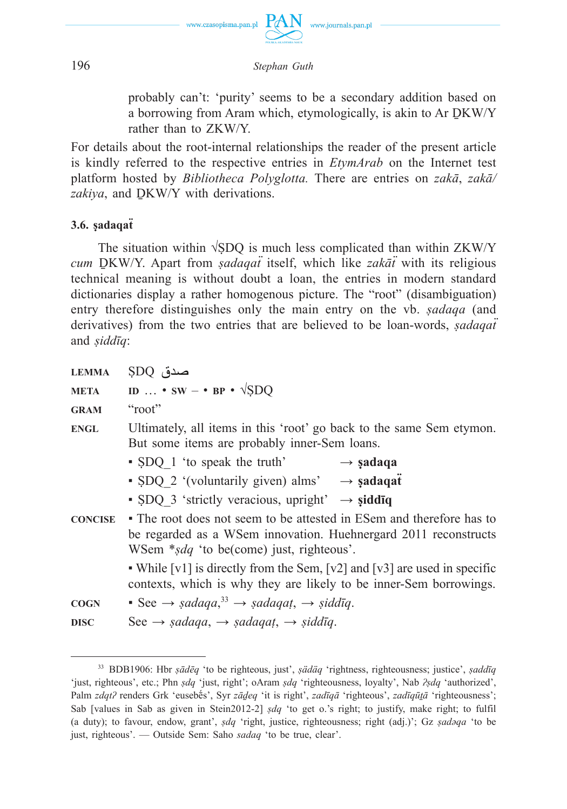

probably can't: 'purity' seems to be a secondary addition based on a borrowing from Aram which, etymologically, is akin to Ar ḎKW/Y rather than to ZKW/Y.

For details about the root-internal relationships the reader of the present article is kindly referred to the respective entries in *EtymArab* on the Internet test platform hosted by *Bibliotheca Polyglotta.* There are entries on *zakā*, *zakā/* zakiya, and DKW/Y with derivations.

# **3.6. ṣadaqaẗ**

The situation within  $\sqrt{SDO}$  is much less complicated than within  $ZKW/Y$ *cum* ḎKW/Y. Apart from *ṣadaqaẗ* itself, which like *zakāẗ* with its religious technical meaning is without doubt a loan, the entries in modern standard dictionaries display a rather homogenous picture. The "root" (disambiguation) entry therefore distinguishes only the main entry on the vb. *ṣadaqa* (and derivatives) from the two entries that are believed to be loan-words, *sadaqat* and *ṣiddīq*:

| <b>LEMMA</b>   | صدق SDQ                                                                                                                                                                                     |
|----------------|---------------------------------------------------------------------------------------------------------------------------------------------------------------------------------------------|
| <b>META</b>    | ID  • SW – • BP • $\sqrt{\text{SDQ}}$                                                                                                                                                       |
| <b>GRAM</b>    | "root"                                                                                                                                                                                      |
| <b>ENGL</b>    | Ultimately, all items in this 'root' go back to the same Sem etymon.<br>But some items are probably inner-Sem loans.                                                                        |
|                | • SDQ 1 'to speak the truth'<br>$\rightarrow$ şadaqa                                                                                                                                        |
|                | • SDQ_2 '(voluntarily given) alms' $\rightarrow$ sadaqat                                                                                                                                    |
|                | • SDQ 3 'strictly veracious, upright' $\rightarrow$ siddlig                                                                                                                                 |
| <b>CONCISE</b> | • The root does not seem to be attested in ESem and therefore has to<br>be regarded as a WSem innovation. Huehnergard 2011 reconstructs<br>WSem * <i>sdq</i> 'to be(come) just, righteous'. |
|                | • While $[v1]$ is directly from the Sem, $[v2]$ and $[v3]$ are used in specific<br>contexts, which is why they are likely to be inner-Sem borrowings.                                       |
| <b>COGN</b>    | See $\rightarrow$ sadaga, $^{33} \rightarrow$ sadagat, $\rightarrow$ siddlig.                                                                                                               |
| <b>DISC</b>    | See $\rightarrow$ sadaqa, $\rightarrow$ sadaqat, $\rightarrow$ siddīq.                                                                                                                      |

<sup>33</sup> BDB1906: Hbr *ṣādēq* 'to be righteous, just', *ṣädäq* 'rightness, righteousness; justice', *ṣaddīq* 'just, righteous', etc.; Phn *ṣdq* 'just, right'; oAram *ṣdq* 'righteousness, loyalty', Nab *ʔṣdq* 'authorized', Palm *zdqtʔ* renders Grk 'eusebḗs', Syr *zāḏeq* 'it is right', *zadīqā* 'righteous', *zadīqūṯā* 'righteousness'; Sab [values in Sab as given in Stein2012-2] *ṣdq* 'to get o.'s right; to justify, make right; to fulfil (a duty); to favour, endow, grant', *ṣdq* 'right, justice, righteousness; right (adj.)'; Gz *ṣadəqa* 'to be just, righteous'. — Outside Sem: Saho *sadaq* 'to be true, clear'.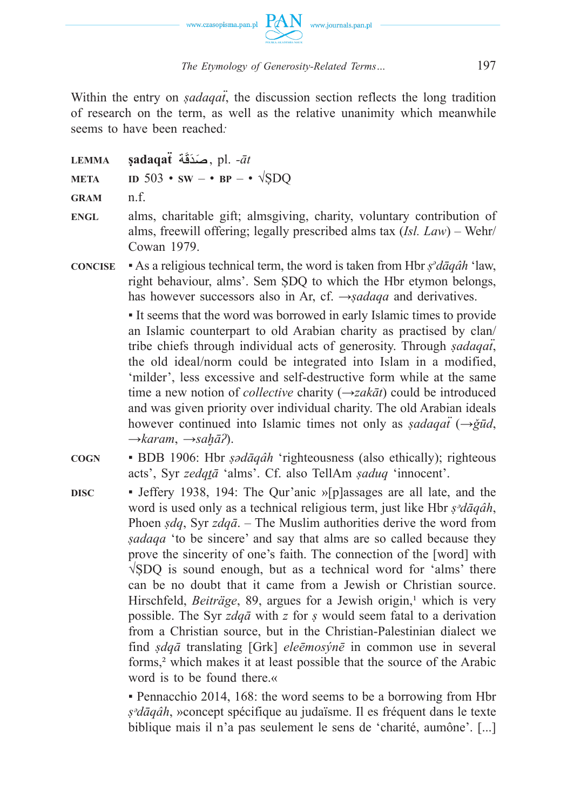

Within the entry on *sadaqai*, the discussion section reflects the long tradition of research on the term, as well as the relative unanimity which meanwhile seems to have been reached*:*

َة َص َد **ṣadaqaẗ LEMMA** ق , pl. *-āt*

**META ID**  $503 \cdot \text{SW} - \cdot \text{BP} - \cdot \sqrt{\text{SDO}}$ 

**GRAM** n.f.

- **ENGL** alms, charitable gift; almsgiving, charity, voluntary contribution of alms, freewill offering; legally prescribed alms tax (*Isl. Law*) – Wehr/ Cowan 1979.
- **CONCISE** As a religious technical term, the word is taken from Hbr *ṣə dāqâh* 'law, right behaviour, alms'. Sem ṢDQ to which the Hbr etymon belongs, has however successors also in Ar, cf. →*ṣadaqa* and derivatives.

▪ It seems that the word was borrowed in early Islamic times to provide an Islamic counterpart to old Arabian charity as practised by clan/ tribe chiefs through individual acts of generosity. Through *ṣadaqaẗ*, the old ideal/norm could be integrated into Islam in a modified, 'milder', less excessive and self-destructive form while at the same time a new notion of *collective* charity (→*zakāt*) could be introduced and was given priority over individual charity. The old Arabian ideals however continued into Islamic times not only as *ṣadaqaẗ* (→*ǧūd*, →*karam*, →*saḫāʔ*).

- **COGN** BDB 1906: Hbr *ṣədāqâh* 'righteousness (also ethically); righteous acts', Syr *zedqṯā* 'alms'. Cf. also TellAm *ṣaduq* 'innocent'.
- **DISC** Jeffery 1938, 194: The Qur'anic »[p]assages are all late, and the word is used only as a technical religious term, just like Hbr *ş*<sup>*a*</sup>*dāqâh*, Phoen *ṣdq*, Syr *zdqā*. – The Muslim authorities derive the word from *ṣadaqa* 'to be sincere' and say that alms are so called because they prove the sincerity of one's faith. The connection of the [word] with √ṢDQ is sound enough, but as a technical word for 'alms' there can be no doubt that it came from a Jewish or Christian source. Hirschfeld, *Beiträge*, 89, argues for a Jewish origin,<sup>1</sup> which is very possible. The Syr *zdqā* with *z* for *ṣ* would seem fatal to a derivation from a Christian source, but in the Christian-Palestinian dialect we find *sdqā* translating [Grk] *eleēmosýnē* in common use in several forms,² which makes it at least possible that the source of the Arabic word is to be found there.«

▪ Pennacchio 2014, 168: the word seems to be a borrowing from Hbr *ṣᵊdāqâh*, »concept spécifique au judaï sme. Il es fréquent dans le texte biblique mais il n'a pas seulement le sens de 'charité, aumône'. [...]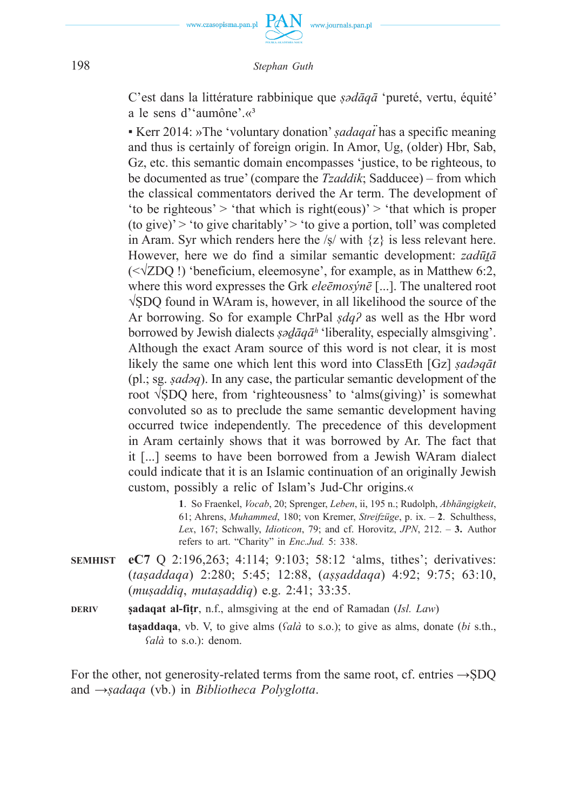C'est dans la littérature rabbinique que *ṣədāqā* 'pureté, vertu, équité' a le sens d''aumône'.«³

www.journals.pan.pl

■ Kerr 2014: »The 'voluntary donation' *sadaqaï* has a specific meaning and thus is certainly of foreign origin. In Amor, Ug, (older) Hbr, Sab, Gz, etc. this semantic domain encompasses 'justice, to be righteous, to be documented as true' (compare the *Tzaddik*; Sadducee) – from which the classical commentators derived the Ar term. The development of 'to be righteous' > 'that which is right(eous)' > 'that which is proper (to give)'  $>$  'to give charitably'  $>$  'to give a portion, toll' was completed in Aram. Syr which renders here the  $\frac{s}{\sqrt{2}}$  is less relevant here. However, here we do find a similar semantic development: *zadūṯā* (<√ZDQ !) 'beneficium, eleemosyne', for example, as in Matthew 6:2, where this word expresses the Grk *eleēmosýnē* [...]. The unaltered root √ṢDQ found in WAram is, however, in all likelihood the source of the Ar borrowing. So for example ChrPal *ṣdqʔ* as well as the Hbr word borrowed by Jewish dialects *ṣəḏāqāʰ* 'liberality, especially almsgiving'. Although the exact Aram source of this word is not clear, it is most likely the same one which lent this word into ClassEth [Gz] *ṣadəqāt* (pl.; sg. *ṣadəq*). In any case, the particular semantic development of the root √ṢDQ here, from 'righteousness' to 'alms(giving)' is somewhat convoluted so as to preclude the same semantic development having occurred twice independently. The precedence of this development in Aram certainly shows that it was borrowed by Ar. The fact that it [...] seems to have been borrowed from a Jewish WAram dialect could indicate that it is an Islamic continuation of an originally Jewish custom, possibly a relic of Islam's Jud-Chr origins.«

> 1. So Fraenkel, *Vocab*, 20; Sprenger, *Leben*, ii, 195 n.; Rudolph, *Abhängigkeit*, 61; Ahrens, *Muhammed*, 180; von Kremer, *Streifzü ge*, p. ix. – **2**. Schulthess, *Lex*, 167; Schwally, *Idioticon*, 79; and cf. Horovitz, *JPN*, 212. - 3. Author refers to art. "Charity" in *Enc.Jud.* 5: 338.

- **SEMHIST eC7** Q 2:196,263; 4:114; 9:103; 58:12 'alms, tithes'; derivatives: (*taṣaddaqa*) 2:280; 5:45; 12:88, (*aṣṣaddaqa*) 4:92; 9:75; 63:10, (*muṣaddiq*, *mutaṣaddiq*) e.g. 2:41; 33:35.
- **DERIV ṣadaqat al-fiṭr**, n.f., almsgiving at the end of Ramadan (*Isl. Law*)  **taṣaddaqa**, vb. V, to give alms (*ʕalà* to s.o.); to give as alms, donate (*bi* s.th.,

*ʕalà* to s.o.): denom.

For the other, not generosity-related terms from the same root, cf. entries  $\rightarrow$  $SDQ$ and →*ṣadaqa* (vb.) in *Bibliotheca Polyglotta*.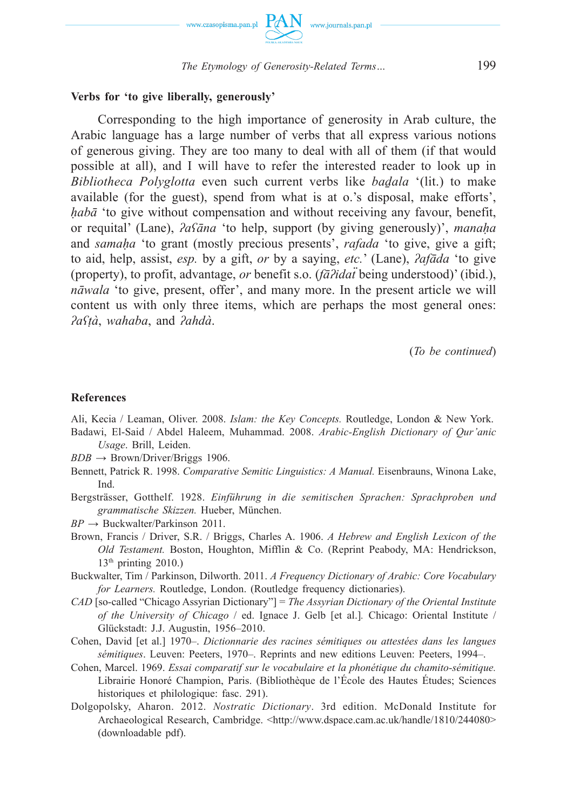

## **Verbs for 'to give liberally, generously'**

Corresponding to the high importance of generosity in Arab culture, the Arabic language has a large number of verbs that all express various notions of generous giving. They are too many to deal with all of them (if that would possible at all), and I will have to refer the interested reader to look up in *Bibliotheca Polyglotta* even such current verbs like *baḏala* '(lit.) to make available (for the guest), spend from what is at o.'s disposal, make efforts', *haba* 'to give without compensation and without receiving any favour, benefit, or requital' (Lane), *ʔaʕāna* 'to help, support (by giving generously)', *manaḥa* and *samaḥa* 'to grant (mostly precious presents', *rafada* 'to give, give a gift; to aid, help, assist, *esp.* by a gift, *or* by a saying, *etc.*' (Lane), *ʔafāda* 'to give (property), to profit, advantage, *or* benefit s.o. (*fāʔidaẗ* being understood)' (ibid.), *nāwala* 'to give, present, offer', and many more. In the present article we will content us with only three items, which are perhaps the most general ones: *ʔaʕṭà*, *wahaba*, and *ʔahdà*.

(*To be continued*)

#### **References**

- Ali, Kecia / Leaman, Oliver. 2008. *Islam: the Key Concepts.* Routledge, London & New York. Badawi, El-Said / Abdel Haleem, Muhammad. 2008. *Arabic-English Dictionary of Qur'anic*
- *Usage*. Brill, Leiden.
- $BDB \rightarrow Brown/Driver/Briggs$  1906.
- Bennett, Patrick R. 1998. *Comparative Semitic Linguistics: A Manual.* Eisenbrauns, Winona Lake, Ind.
- Bergsträsser, Gotthelf. 1928. *Einführung in die semitischen Sprachen: Sprachproben und grammatische Skizzen.* Hueber, München.
- *BP* → Buckwalter/Parkinson 2011.
- Brown, Francis / Driver, S.R. / Briggs, Charles A. 1906. *A Hebrew and English Lexicon of the Old Testament.* Boston, Houghton, Mifflin & Co. (Reprint Peabody, MA: Hendrickson,  $13<sup>th</sup>$  printing 2010.)
- Buckwalter, Tim / Parkinson, Dilworth. 2011. *A Frequency Dictionary of Arabic: Core Vocabulary for Learners.* Routledge, London. (Routledge frequency dictionaries).
- *CAD* [so-called "Chicago Assyrian Dictionary"] = *The Assyrian Dictionary of the Oriental Institute of the University of Chicago* / ed. Ignace J. Gelb [et al.]*.* Chicago: Oriental Institute / Glückstadt: J.J. Augustin, 1956–2010.
- Cohen, David [et al.] 1970–. *Dictionnarie des racines sémitiques ou attestées dans les langues sémitiques*. Leuven: Peeters, 1970–. Reprints and new editions Leuven: Peeters, 1994–.
- Cohen, Marcel. 1969. *Essai comparatif sur le vocabulaire et la phonétique du chamito-sémitique.* Librairie Honoré Champion, Paris. (Bibliothèque de l'École des Hautes Études; Sciences historiques et philologique: fasc. 291).
- Dolgopolsky, Aharon. 2012. *Nostratic Dictionary*. 3rd edition. McDonald Institute for Archaeological Research, Cambridge. <http://www.dspace.cam.ac.uk/handle/1810/244080> (downloadable pdf).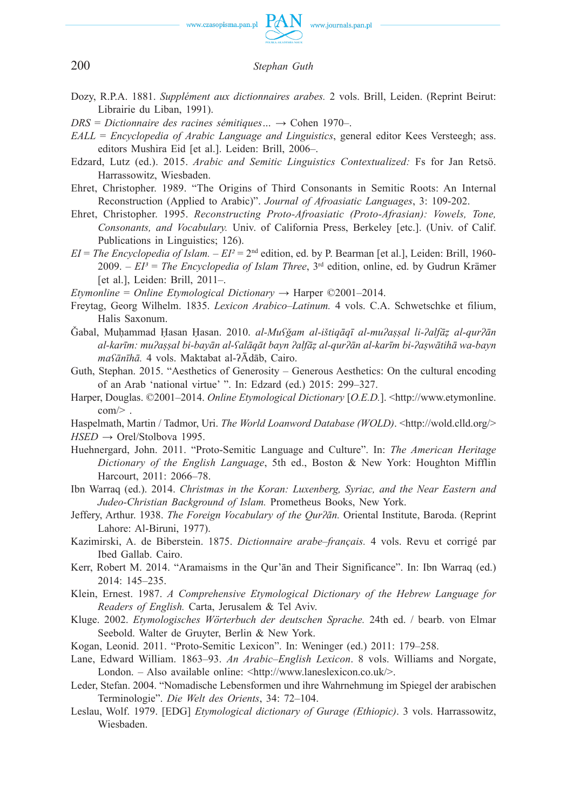

- Dozy, R.P.A. 1881. *Supplément aux dictionnaires arabes.* 2 vols. Brill, Leiden. (Reprint Beirut: Librairie du Liban, 1991).
- *DRS* = *Dictionnaire des racines sémitiques…* → Cohen 1970–.
- *EALL* = *Encyclopedia of Arabic Language and Linguistics*, general editor Kees Versteegh; ass. editors Mushira Eid [et al.]. Leiden: Brill, 2006–.
- Edzard, Lutz (ed.). 2015. *Arabic and Semitic Linguistics Contextualized:* Fs for Jan Retsö. Harrassowitz, Wiesbaden.
- Ehret, Christopher. 1989. "The Origins of Third Consonants in Semitic Roots: An Internal Reconstruction (Applied to Arabic)". *Journal of Afroasiatic Languages*, 3: 109-202.
- Ehret, Christopher. 1995. *Reconstructing Proto-Afroasiatic (Proto-Afrasian): Vowels, Tone, Consonants, and Vocabulary.* Univ. of California Press, Berkeley [etc.]. (Univ. of Calif. Publications in Linguistics; 126).
- $EI = The Encyclopedia of Islam. EI^2 = 2<sup>nd</sup> edition, ed. by P. Bearman [et al.], Leiden: Brill, 1960-$ 2009. – *EI³* = *The Encyclopedia of Islam Three*, 3rd edition, online, ed. by Gudrun Krämer [et al.], Leiden: Brill, 2011–.
- *Etymonline* = *Online Etymological Dictionary*  $\rightarrow$  Harper ©2001–2014.
- Freytag, Georg Wilhelm. 1835. *Lexicon Arabico–Latinum.* 4 vols. C.A. Schwetschke et filium, Halis Saxonum.
- Ǧabal, Muḥammad Ḥasan Ḥasan. 2010. *al-Muʕǧam al-ištiqāqī al-muʔaṣṣal li-ʔalfāẓ al-qurʔān*  al-karīm: mu?assal bi-bayān al-salāqāt bayn ?alfāz al-qur?ān al-karīm bi-?aswātihā wa-bayn *maʕānīhā.* 4 vols. Maktabat al-ʔĀdāb, Cairo.
- Guth, Stephan. 2015. "Aesthetics of Generosity Generous Aesthetics: On the cultural encoding of an Arab 'national virtue' ". In: Edzard (ed.) 2015: 299–327.
- Harper, Douglas. ©2001–2014. *Online Etymological Dictionary* [*O.E.D.*]. <http://www.etymonline. com/> .
- Haspelmath, Martin / Tadmor, Uri. *The World Loanword Database (WOLD)*. <http://wold.clld.org/>
- $HSED \rightarrow Orel/Stolbova 1995.$
- Huehnergard, John. 2011. "Proto-Semitic Language and Culture". In: *The American Heritage Dictionary of the English Language*, 5th ed., Boston & New York: Houghton Mifflin Harcourt, 2011: 2066–78.
- Ibn Warraq (ed.). 2014. *Christmas in the Koran: Luxenberg, Syriac, and the Near Eastern and Judeo-Christian Background of Islam.* Prometheus Books, New York.
- Jeffery, Arthur. 1938. *The Foreign Vocabulary of the Qurʔān.* Oriental Institute, Baroda. (Reprint Lahore: Al-Biruni, 1977).
- Kazimirski, A. de Biberstein. 1875. *Dictionnaire arabe–français.* 4 vols. Revu et corrigé par Ibed Gallab. Cairo.
- Kerr, Robert M. 2014. "Aramaisms in the Qur'ān and Their Significance". In: Ibn Warraq (ed.) 2014: 145–235.
- Klein, Ernest. 1987. *A Comprehensive Etymological Dictionary of the Hebrew Language for Readers of English.* Carta, Jerusalem & Tel Aviv.
- Kluge. 2002. *Etymologisches Wörterbuch der deutschen Sprache.* 24th ed. / bearb. von Elmar Seebold. Walter de Gruyter, Berlin & New York.
- Kogan, Leonid. 2011. "Proto-Semitic Lexicon". In: Weninger (ed.) 2011: 179–258.
- Lane, Edward William. 1863–93. *An Arabic–English Lexicon*. 8 vols. Williams and Norgate, London. – Also available online: <http://www.laneslexicon.co.uk/>.
- Leder, Stefan. 2004. "Nomadische Lebensformen und ihre Wahrnehmung im Spiegel der arabischen Terminologie". *Die Welt des Orients*, 34: 72–104.
- Leslau, Wolf. 1979. [EDG] *Etymological dictionary of Gurage (Ethiopic)*. 3 vols. Harrassowitz, Wiesbaden.